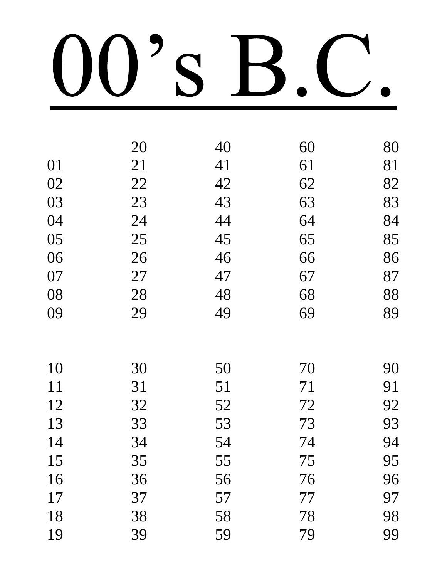|    | 20 | 40 | 60 | 80 |
|----|----|----|----|----|
| 01 | 21 | 41 | 61 | 81 |
| 02 | 22 | 42 | 62 | 82 |
| 03 | 23 | 43 | 63 | 83 |
| 04 | 24 | 44 | 64 | 84 |
| 05 | 25 | 45 | 65 | 85 |
| 06 | 26 | 46 | 66 | 86 |
| 07 | 27 | 47 | 67 | 87 |
| 08 | 28 | 48 | 68 | 88 |
| 09 | 29 | 49 | 69 | 89 |
|    |    |    |    |    |
| 10 | 30 | 50 | 70 | 90 |
| 11 | 31 | 51 | 71 | 91 |
| 12 | 32 | 52 | 72 | 92 |
| 13 | 33 | 53 | 73 | 93 |
| 14 | 34 | 54 | 74 | 94 |
| 15 | 35 | 55 | 75 | 95 |
| 16 | 36 | 56 | 76 | 96 |
| 17 | 37 | 57 | 77 | 97 |
| 18 | 38 | 58 | 78 | 98 |
| 19 | 39 | 59 | 79 | 99 |
|    |    |    |    |    |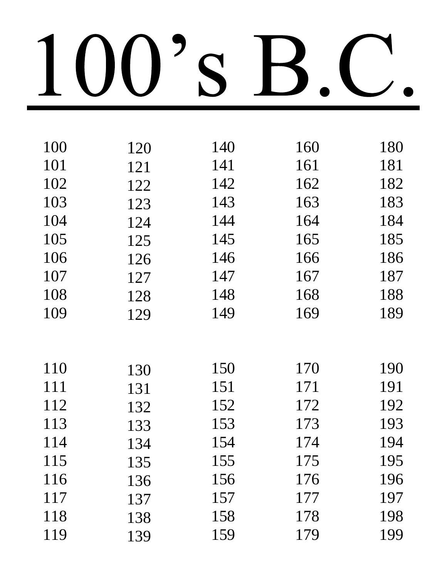| 100 | 120 | 140 | 160 | 180 |
|-----|-----|-----|-----|-----|
| 101 | 121 | 141 | 161 | 181 |
| 102 | 122 | 142 | 162 | 182 |
| 103 | 123 | 143 | 163 | 183 |
| 104 | 124 | 144 | 164 | 184 |
| 105 | 125 | 145 | 165 | 185 |
| 106 | 126 | 146 | 166 | 186 |
| 107 | 127 | 147 | 167 | 187 |
| 108 | 128 | 148 | 168 | 188 |
| 109 | 129 | 149 | 169 | 189 |
|     |     |     |     |     |
|     |     |     |     |     |
| 110 | 130 | 150 | 170 | 190 |
| 111 | 131 | 151 | 171 | 191 |
| 112 | 132 | 152 | 172 | 192 |
| 113 | 133 | 153 | 173 | 193 |
| 114 | 134 | 154 | 174 | 194 |
| 115 | 135 | 155 | 175 | 195 |
| 116 | 136 | 156 | 176 | 196 |
| 117 | 137 | 157 | 177 | 197 |
| 118 | 138 | 158 | 178 | 198 |
| 119 | 139 | 159 | 179 | 199 |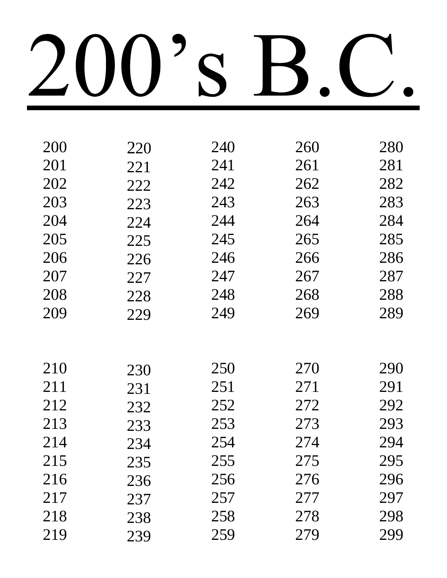| 200 | 220 | 240 | 260 | 280 |
|-----|-----|-----|-----|-----|
| 201 | 221 | 241 | 261 | 281 |
| 202 | 222 | 242 | 262 | 282 |
| 203 | 223 | 243 | 263 | 283 |
| 204 | 224 | 244 | 264 | 284 |
| 205 | 225 | 245 | 265 | 285 |
| 206 | 226 | 246 | 266 | 286 |
| 207 | 227 | 247 | 267 | 287 |
| 208 | 228 | 248 | 268 | 288 |
| 209 | 229 | 249 | 269 | 289 |
|     |     |     |     |     |
|     |     |     |     |     |
| 210 | 230 | 250 | 270 | 290 |
| 211 | 231 | 251 | 271 | 291 |
| 212 | 232 | 252 | 272 | 292 |
| 213 | 233 | 253 | 273 | 293 |
| 214 | 234 | 254 | 274 | 294 |
| 215 | 235 | 255 | 275 | 295 |
| 216 | 236 | 256 | 276 | 296 |
| 217 | 237 | 257 | 277 | 297 |
| 218 | 238 | 258 | 278 | 298 |
| 219 | 239 | 259 | 279 | 299 |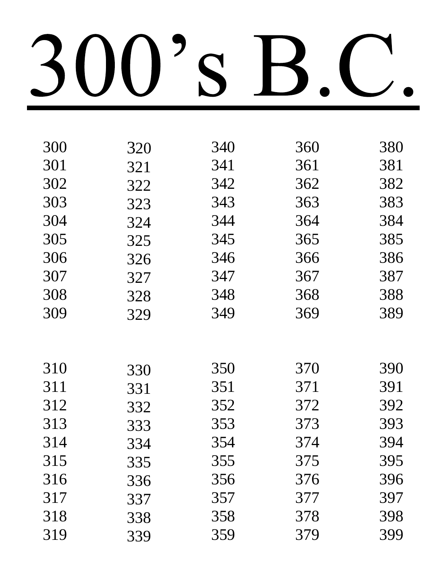| 300 | 320 | 340 | 360 | 380 |
|-----|-----|-----|-----|-----|
| 301 | 321 | 341 | 361 | 381 |
| 302 | 322 | 342 | 362 | 382 |
| 303 | 323 | 343 | 363 | 383 |
| 304 | 324 | 344 | 364 | 384 |
| 305 | 325 | 345 | 365 | 385 |
| 306 | 326 | 346 | 366 | 386 |
| 307 | 327 | 347 | 367 | 387 |
| 308 | 328 | 348 | 368 | 388 |
| 309 | 329 | 349 | 369 | 389 |
|     |     |     |     |     |
|     |     |     |     |     |
| 310 | 330 | 350 | 370 | 390 |
| 311 | 331 | 351 | 371 | 391 |
| 312 | 332 | 352 | 372 | 392 |
| 313 | 333 | 353 | 373 | 393 |
| 314 | 334 | 354 | 374 | 394 |
| 315 | 335 | 355 | 375 | 395 |
| 316 | 336 | 356 | 376 | 396 |
| 317 | 337 | 357 | 377 | 397 |
| 318 | 338 | 358 | 378 | 398 |
| 319 | 339 | 359 | 379 | 399 |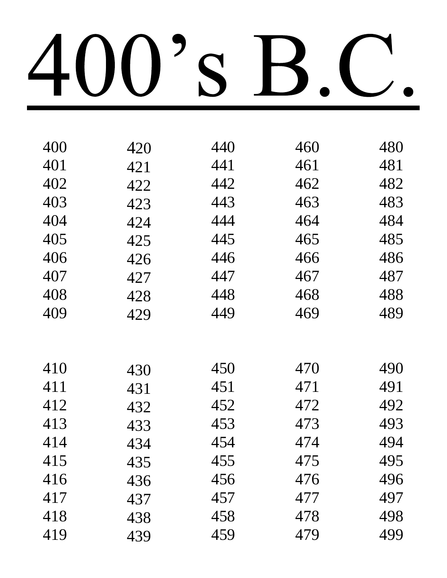| 400 | 420 | 440 | 460 | 480 |
|-----|-----|-----|-----|-----|
| 401 | 421 | 441 | 461 | 481 |
| 402 | 422 | 442 | 462 | 482 |
| 403 | 423 | 443 | 463 | 483 |
| 404 | 424 | 444 | 464 | 484 |
| 405 | 425 | 445 | 465 | 485 |
| 406 | 426 | 446 | 466 | 486 |
| 407 | 427 | 447 | 467 | 487 |
| 408 | 428 | 448 | 468 | 488 |
| 409 | 429 | 449 | 469 | 489 |
|     |     |     |     |     |
|     |     |     |     |     |
| 410 | 430 | 450 | 470 | 490 |
| 411 | 431 | 451 | 471 | 491 |
| 412 | 432 | 452 | 472 | 492 |
| 413 | 433 | 453 | 473 | 493 |
| 414 | 434 | 454 | 474 | 494 |
| 415 | 435 | 455 | 475 | 495 |
| 416 | 436 | 456 | 476 | 496 |
| 417 | 437 | 457 | 477 | 497 |
| 418 | 438 | 458 | 478 | 498 |
| 419 | 439 | 459 | 479 | 499 |
|     |     |     |     |     |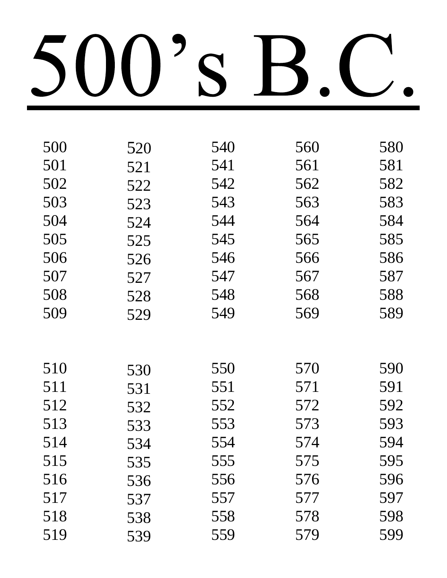| 500 | 520 | 540 | 560 | 580 |
|-----|-----|-----|-----|-----|
| 501 | 521 | 541 | 561 | 581 |
| 502 | 522 | 542 | 562 | 582 |
| 503 | 523 | 543 | 563 | 583 |
| 504 | 524 | 544 | 564 | 584 |
| 505 | 525 | 545 | 565 | 585 |
| 506 | 526 | 546 | 566 | 586 |
| 507 | 527 | 547 | 567 | 587 |
| 508 | 528 | 548 | 568 | 588 |
| 509 | 529 | 549 | 569 | 589 |
|     |     |     |     |     |
|     |     |     |     |     |
| 510 | 530 | 550 | 570 | 590 |
| 511 | 531 | 551 | 571 | 591 |
| 512 | 532 | 552 | 572 | 592 |
| 513 | 533 | 553 | 573 | 593 |
| 514 | 534 | 554 | 574 | 594 |
| 515 | 535 | 555 | 575 | 595 |
| 516 | 536 | 556 | 576 | 596 |
| 517 | 537 | 557 | 577 | 597 |
| 518 | 538 | 558 | 578 | 598 |
| 519 | 539 | 559 | 579 | 599 |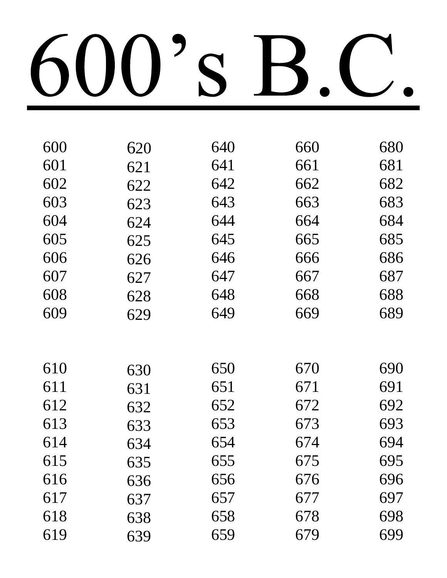| 600 | 620 | 640 | 660 | 680 |
|-----|-----|-----|-----|-----|
| 601 | 621 | 641 | 661 | 681 |
| 602 | 622 | 642 | 662 | 682 |
| 603 | 623 | 643 | 663 | 683 |
| 604 | 624 | 644 | 664 | 684 |
| 605 | 625 | 645 | 665 | 685 |
| 606 | 626 | 646 | 666 | 686 |
| 607 | 627 | 647 | 667 | 687 |
| 608 | 628 | 648 | 668 | 688 |
| 609 | 629 | 649 | 669 | 689 |
|     |     |     |     |     |
|     |     |     |     |     |
| 610 | 630 | 650 | 670 | 690 |
| 611 | 631 | 651 | 671 | 691 |
| 612 | 632 | 652 | 672 | 692 |
| 613 | 633 | 653 | 673 | 693 |
| 614 | 634 | 654 | 674 | 694 |
| 615 | 635 | 655 | 675 | 695 |
| 616 | 636 | 656 | 676 | 696 |
| 617 | 637 | 657 | 677 | 697 |
| 618 | 638 | 658 | 678 | 698 |
| 619 | 639 | 659 | 679 | 699 |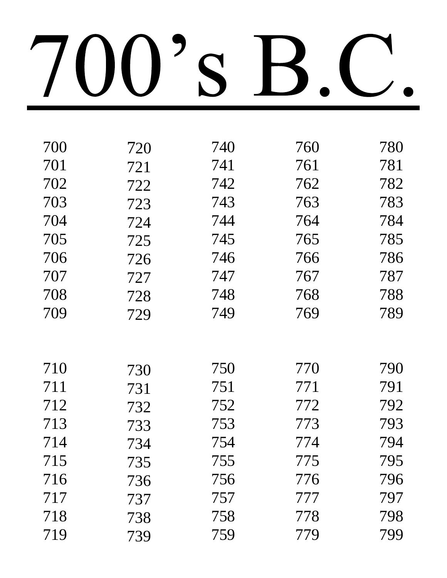| 700 | 720 | 740 | 760 | 780 |
|-----|-----|-----|-----|-----|
| 701 | 721 | 741 | 761 | 781 |
| 702 | 722 | 742 | 762 | 782 |
| 703 | 723 | 743 | 763 | 783 |
| 704 | 724 | 744 | 764 | 784 |
| 705 | 725 | 745 | 765 | 785 |
| 706 | 726 | 746 | 766 | 786 |
| 707 | 727 | 747 | 767 | 787 |
| 708 | 728 | 748 | 768 | 788 |
| 709 | 729 | 749 | 769 | 789 |
|     |     |     |     |     |
|     |     |     |     |     |
| 710 | 730 | 750 | 770 | 790 |
| 711 | 731 | 751 | 771 | 791 |
| 712 | 732 | 752 | 772 | 792 |
| 713 | 733 | 753 | 773 | 793 |
| 714 | 734 | 754 | 774 | 794 |
| 715 | 735 | 755 | 775 | 795 |
| 716 | 736 | 756 | 776 | 796 |
| 717 | 737 | 757 | 777 | 797 |
| 718 | 738 | 758 | 778 | 798 |
| 719 | 739 | 759 | 779 | 799 |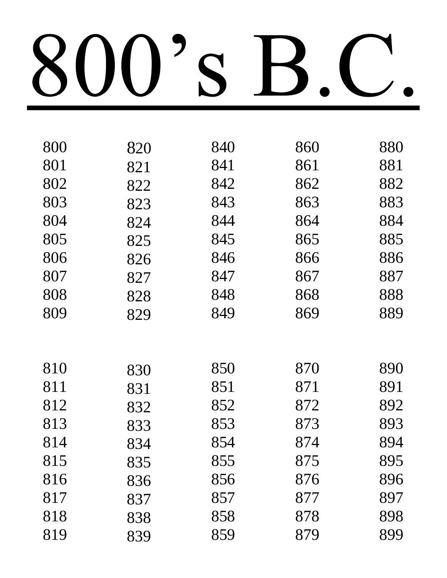| 800 | 820 | 840 | 860 | 880 |
|-----|-----|-----|-----|-----|
| 801 | 821 | 841 | 861 | 881 |
| 802 | 822 | 842 | 862 | 882 |
| 803 | 823 | 843 | 863 | 883 |
| 804 | 824 | 844 | 864 | 884 |
| 805 | 825 | 845 | 865 | 885 |
| 806 | 826 | 846 | 866 | 886 |
| 807 | 827 | 847 | 867 | 887 |
| 808 | 828 | 848 | 868 | 888 |
| 809 | 829 | 849 | 869 | 889 |
|     |     |     |     |     |
|     |     |     |     |     |
| 810 | 830 | 850 | 870 | 890 |
| 811 | 831 | 851 | 871 | 891 |
| 812 | 832 | 852 | 872 | 892 |
| 813 | 833 | 853 | 873 | 893 |
| 814 | 834 | 854 | 874 | 894 |
| 815 | 835 | 855 | 875 | 895 |
| 816 | 836 | 856 | 876 | 896 |
| 817 | 837 | 857 | 877 | 897 |
| 818 | 838 | 858 | 878 | 898 |
| 819 | 839 | 859 | 879 | 899 |
|     |     |     |     |     |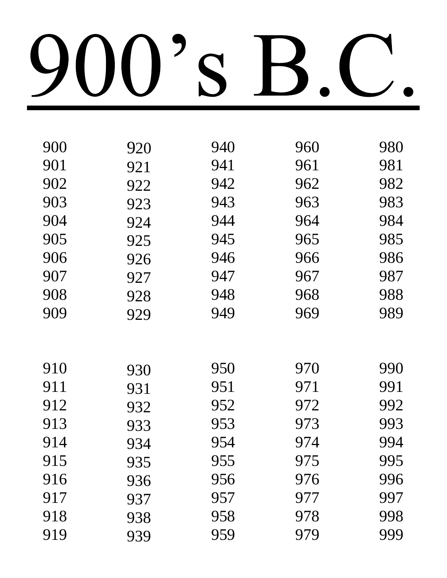| 920 | 940 | 960 | 980 |
|-----|-----|-----|-----|
| 921 | 941 | 961 | 981 |
| 922 | 942 | 962 | 982 |
| 923 | 943 | 963 | 983 |
| 924 | 944 | 964 | 984 |
| 925 | 945 | 965 | 985 |
| 926 | 946 | 966 | 986 |
| 927 | 947 | 967 | 987 |
| 928 | 948 | 968 | 988 |
| 929 | 949 | 969 | 989 |
|     |     |     |     |
|     |     |     |     |
| 930 | 950 | 970 | 990 |
| 931 | 951 | 971 | 991 |
| 932 | 952 | 972 | 992 |
| 933 | 953 | 973 | 993 |
| 934 | 954 | 974 | 994 |
| 935 | 955 | 975 | 995 |
| 936 | 956 | 976 | 996 |
| 937 | 957 | 977 | 997 |
| 938 | 958 | 978 | 998 |
| 939 | 959 | 979 | 999 |
|     |     |     |     |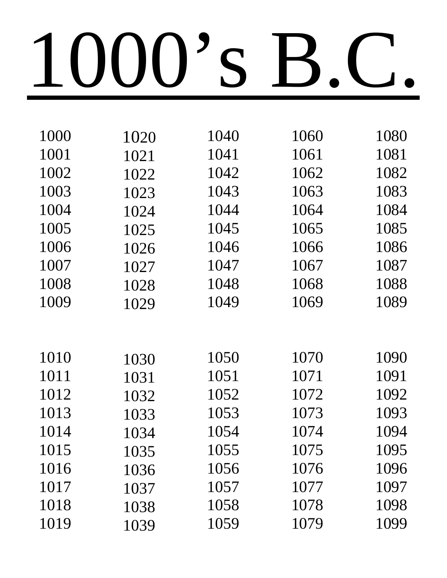| 1000 | 1020 | 1040 | 1060 | 1080 |
|------|------|------|------|------|
| 1001 | 1021 | 1041 | 1061 | 1081 |
| 1002 | 1022 | 1042 | 1062 | 1082 |
| 1003 | 1023 | 1043 | 1063 | 1083 |
| 1004 | 1024 | 1044 | 1064 | 1084 |
| 1005 | 1025 | 1045 | 1065 | 1085 |
| 1006 | 1026 | 1046 | 1066 | 1086 |
| 1007 | 1027 | 1047 | 1067 | 1087 |
| 1008 | 1028 | 1048 | 1068 | 1088 |
| 1009 | 1029 | 1049 | 1069 | 1089 |
|      |      |      |      |      |
|      |      |      |      |      |
| 1010 | 1030 | 1050 | 1070 | 1090 |
| 1011 | 1031 | 1051 | 1071 | 1091 |
| 1012 | 1032 | 1052 | 1072 | 1092 |
| 1013 | 1033 | 1053 | 1073 | 1093 |
| 1014 | 1034 | 1054 | 1074 | 1094 |
| 1015 | 1035 | 1055 | 1075 | 1095 |
| 1016 | 1036 | 1056 | 1076 | 1096 |
| 1017 | 1037 | 1057 | 1077 | 1097 |
| 1018 | 1038 | 1058 | 1078 | 1098 |
| 1019 | 1039 | 1059 | 1079 | 1099 |
|      |      |      |      |      |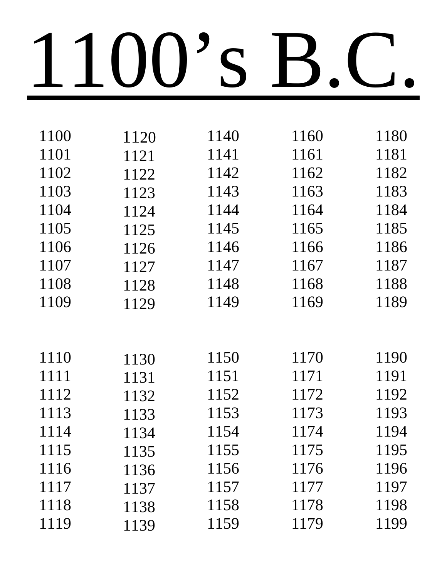| 1100 | 1120 | 1140 | 1160 | 1180 |
|------|------|------|------|------|
| 1101 | 1121 | 1141 | 1161 | 1181 |
| 1102 | 1122 | 1142 | 1162 | 1182 |
| 1103 | 1123 | 1143 | 1163 | 1183 |
| 1104 | 1124 | 1144 | 1164 | 1184 |
| 1105 | 1125 | 1145 | 1165 | 1185 |
| 1106 | 1126 | 1146 | 1166 | 1186 |
| 1107 | 1127 | 1147 | 1167 | 1187 |
| 1108 | 1128 | 1148 | 1168 | 1188 |
| 1109 | 1129 | 1149 | 1169 | 1189 |
|      |      |      |      |      |
|      |      |      |      |      |
| 1110 | 1130 | 1150 | 1170 | 1190 |
| 1111 | 1131 | 1151 | 1171 | 1191 |
| 1112 | 1132 | 1152 | 1172 | 1192 |
| 1113 | 1133 | 1153 | 1173 | 1193 |
| 1114 | 1134 | 1154 | 1174 | 1194 |
| 1115 | 1135 | 1155 | 1175 | 1195 |
| 1116 | 1136 | 1156 | 1176 | 1196 |
| 1117 | 1137 | 1157 | 1177 | 1197 |
| 1118 | 1138 | 1158 | 1178 | 1198 |
| 1119 | 1139 | 1159 | 1179 | 1199 |
|      |      |      |      |      |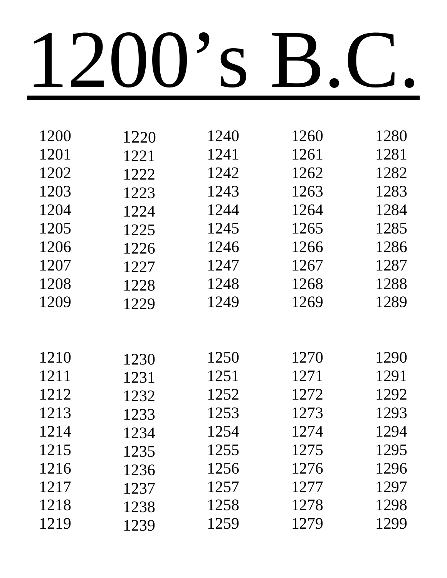| 1200 | 1220 | 1240 | 1260 | 1280 |
|------|------|------|------|------|
| 1201 | 1221 | 1241 | 1261 | 1281 |
| 1202 | 1222 | 1242 | 1262 | 1282 |
| 1203 | 1223 | 1243 | 1263 | 1283 |
| 1204 | 1224 | 1244 | 1264 | 1284 |
| 1205 | 1225 | 1245 | 1265 | 1285 |
| 1206 | 1226 | 1246 | 1266 | 1286 |
| 1207 | 1227 | 1247 | 1267 | 1287 |
| 1208 | 1228 | 1248 | 1268 | 1288 |
| 1209 | 1229 | 1249 | 1269 | 1289 |
|      |      |      |      |      |
|      |      |      |      |      |
| 1210 | 1230 | 1250 | 1270 | 1290 |
| 1211 | 1231 | 1251 | 1271 | 1291 |
| 1212 | 1232 | 1252 | 1272 | 1292 |
| 1213 | 1233 | 1253 | 1273 | 1293 |
| 1214 | 1234 | 1254 | 1274 | 1294 |
| 1215 | 1235 | 1255 | 1275 | 1295 |
| 1216 | 1236 | 1256 | 1276 | 1296 |
| 1217 | 1237 | 1257 | 1277 | 1297 |
| 1218 | 1238 | 1258 | 1278 | 1298 |
| 1219 | 1239 | 1259 | 1279 | 1299 |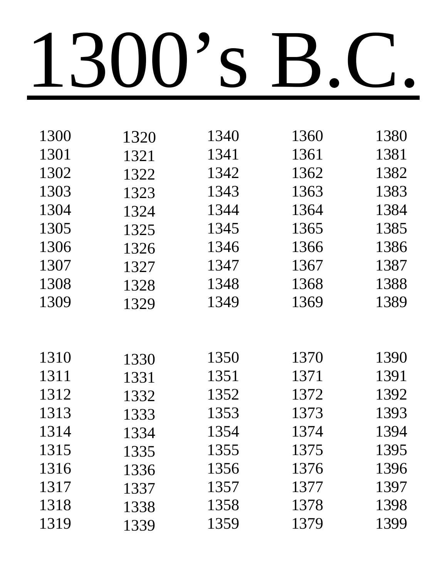| 1300 | 1320 | 1340 | 1360 | 1380 |
|------|------|------|------|------|
| 1301 | 1321 | 1341 | 1361 | 1381 |
| 1302 | 1322 | 1342 | 1362 | 1382 |
| 1303 | 1323 | 1343 | 1363 | 1383 |
| 1304 | 1324 | 1344 | 1364 | 1384 |
| 1305 | 1325 | 1345 | 1365 | 1385 |
| 1306 | 1326 | 1346 | 1366 | 1386 |
| 1307 | 1327 | 1347 | 1367 | 1387 |
| 1308 | 1328 | 1348 | 1368 | 1388 |
| 1309 | 1329 | 1349 | 1369 | 1389 |
|      |      |      |      |      |
|      |      |      |      |      |
| 1310 | 1330 | 1350 | 1370 | 1390 |
| 1311 | 1331 | 1351 | 1371 | 1391 |
| 1312 | 1332 | 1352 | 1372 | 1392 |
| 1313 | 1333 | 1353 | 1373 | 1393 |
| 1314 | 1334 | 1354 | 1374 | 1394 |
| 1315 | 1335 | 1355 | 1375 | 1395 |
| 1316 | 1336 | 1356 | 1376 | 1396 |
| 1317 | 1337 | 1357 | 1377 | 1397 |
| 1318 | 1338 | 1358 | 1378 | 1398 |
| 1319 | 1339 | 1359 | 1379 | 1399 |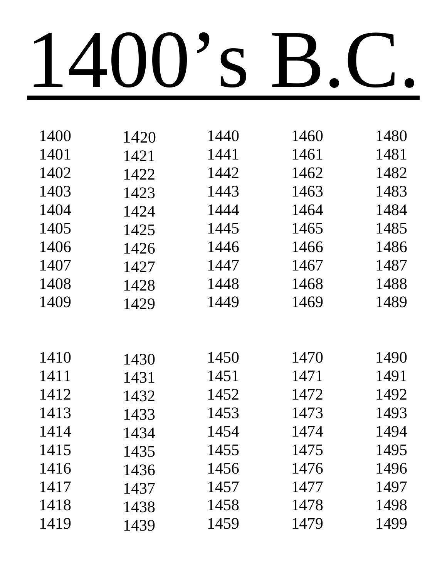| 1400 | 1420 | 1440 | 1460 | 1480 |
|------|------|------|------|------|
| 1401 | 1421 | 1441 | 1461 | 1481 |
| 1402 | 1422 | 1442 | 1462 | 1482 |
| 1403 | 1423 | 1443 | 1463 | 1483 |
| 1404 | 1424 | 1444 | 1464 | 1484 |
| 1405 | 1425 | 1445 | 1465 | 1485 |
| 1406 | 1426 | 1446 | 1466 | 1486 |
| 1407 | 1427 | 1447 | 1467 | 1487 |
| 1408 | 1428 | 1448 | 1468 | 1488 |
| 1409 | 1429 | 1449 | 1469 | 1489 |
|      |      |      |      |      |
|      |      |      |      |      |
| 1410 | 1430 | 1450 | 1470 | 1490 |
| 1411 | 1431 | 1451 | 1471 | 1491 |
| 1412 | 1432 | 1452 | 1472 | 1492 |
| 1413 | 1433 | 1453 | 1473 | 1493 |
| 1414 | 1434 | 1454 | 1474 | 1494 |
| 1415 | 1435 | 1455 | 1475 | 1495 |
| 1416 | 1436 | 1456 | 1476 | 1496 |
| 1417 | 1437 | 1457 | 1477 | 1497 |
| 1418 | 1438 | 1458 | 1478 | 1498 |
| 1419 | 1439 | 1459 | 1479 | 1499 |
|      |      |      |      |      |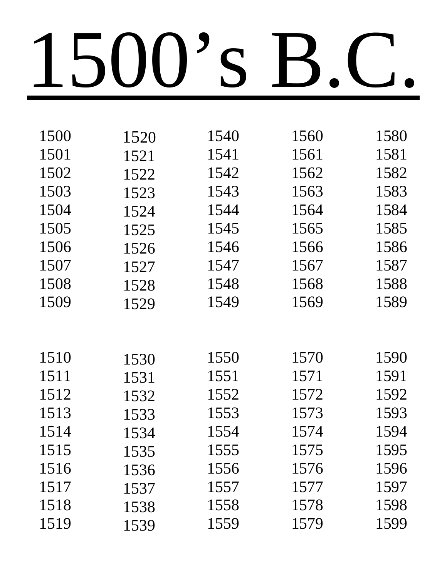| 1500 | 1520 | 1540 | 1560 | 1580 |
|------|------|------|------|------|
| 1501 | 1521 | 1541 | 1561 | 1581 |
| 1502 | 1522 | 1542 | 1562 | 1582 |
| 1503 | 1523 | 1543 | 1563 | 1583 |
| 1504 | 1524 | 1544 | 1564 | 1584 |
| 1505 | 1525 | 1545 | 1565 | 1585 |
| 1506 | 1526 | 1546 | 1566 | 1586 |
| 1507 | 1527 | 1547 | 1567 | 1587 |
| 1508 | 1528 | 1548 | 1568 | 1588 |
| 1509 | 1529 | 1549 | 1569 | 1589 |
|      |      |      |      |      |
|      |      |      |      |      |
| 1510 | 1530 | 1550 | 1570 | 1590 |
| 1511 | 1531 | 1551 | 1571 | 1591 |
| 1512 | 1532 | 1552 | 1572 | 1592 |
| 1513 | 1533 | 1553 | 1573 | 1593 |
| 1514 | 1534 | 1554 | 1574 | 1594 |
| 1515 | 1535 | 1555 | 1575 | 1595 |
| 1516 | 1536 | 1556 | 1576 | 1596 |
| 1517 | 1537 | 1557 | 1577 | 1597 |
| 1518 | 1538 | 1558 | 1578 | 1598 |
| 1519 | 1539 | 1559 | 1579 | 1599 |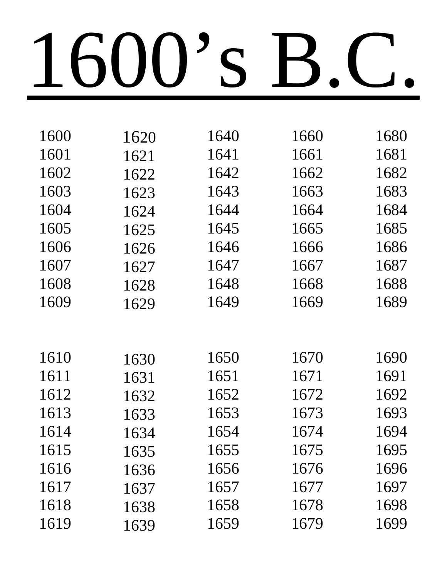| 1600 | 1620 | 1640 | 1660 | 1680 |
|------|------|------|------|------|
| 1601 | 1621 | 1641 | 1661 | 1681 |
| 1602 | 1622 | 1642 | 1662 | 1682 |
| 1603 | 1623 | 1643 | 1663 | 1683 |
| 1604 | 1624 | 1644 | 1664 | 1684 |
| 1605 | 1625 | 1645 | 1665 | 1685 |
| 1606 | 1626 | 1646 | 1666 | 1686 |
| 1607 | 1627 | 1647 | 1667 | 1687 |
| 1608 | 1628 | 1648 | 1668 | 1688 |
| 1609 | 1629 | 1649 | 1669 | 1689 |
|      |      |      |      |      |
|      |      |      |      |      |
| 1610 | 1630 | 1650 | 1670 | 1690 |
| 1611 | 1631 | 1651 | 1671 | 1691 |
| 1612 | 1632 | 1652 | 1672 | 1692 |
| 1613 | 1633 | 1653 | 1673 | 1693 |
| 1614 | 1634 | 1654 | 1674 | 1694 |
| 1615 | 1635 | 1655 | 1675 | 1695 |
| 1616 | 1636 | 1656 | 1676 | 1696 |
| 1617 | 1637 | 1657 | 1677 | 1697 |
| 1618 | 1638 | 1658 | 1678 | 1698 |
| 1619 | 1639 | 1659 | 1679 | 1699 |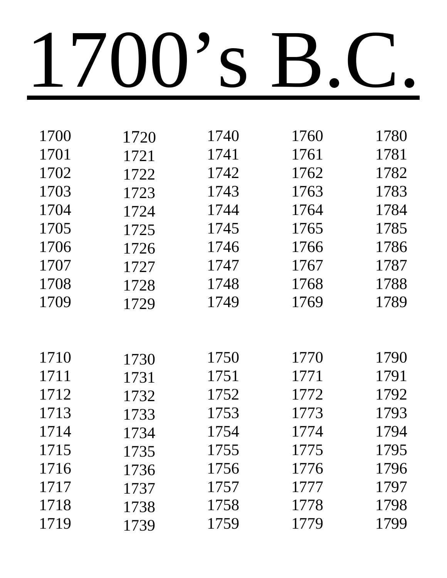| 1700 | 1720 | 1740 | 1760 | 1780 |
|------|------|------|------|------|
| 1701 | 1721 | 1741 | 1761 | 1781 |
| 1702 | 1722 | 1742 | 1762 | 1782 |
| 1703 | 1723 | 1743 | 1763 | 1783 |
| 1704 | 1724 | 1744 | 1764 | 1784 |
| 1705 | 1725 | 1745 | 1765 | 1785 |
| 1706 | 1726 | 1746 | 1766 | 1786 |
| 1707 | 1727 | 1747 | 1767 | 1787 |
| 1708 | 1728 | 1748 | 1768 | 1788 |
| 1709 | 1729 | 1749 | 1769 | 1789 |
|      |      |      |      |      |
|      |      |      |      |      |
| 1710 | 1730 | 1750 | 1770 | 1790 |
| 1711 | 1731 | 1751 | 1771 | 1791 |
| 1712 | 1732 | 1752 | 1772 | 1792 |
| 1713 | 1733 | 1753 | 1773 | 1793 |
| 1714 | 1734 | 1754 | 1774 | 1794 |
| 1715 | 1735 | 1755 | 1775 | 1795 |
| 1716 | 1736 | 1756 | 1776 | 1796 |
| 1717 | 1737 | 1757 | 1777 | 1797 |
| 1718 | 1738 | 1758 | 1778 | 1798 |
| 1719 | 1739 | 1759 | 1779 | 1799 |
|      |      |      |      |      |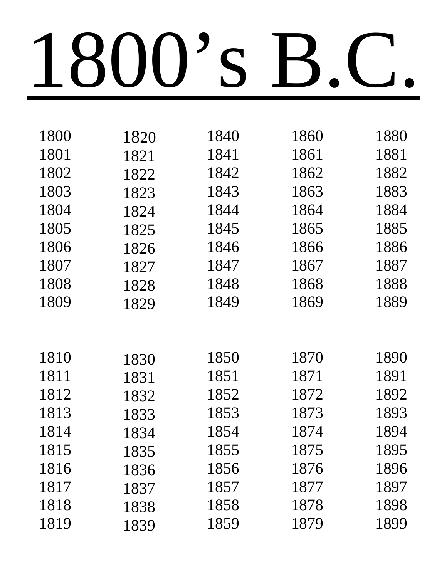| 1800 | 1820 | 1840 | 1860 | 1880 |
|------|------|------|------|------|
| 1801 | 1821 | 1841 | 1861 | 1881 |
| 1802 | 1822 | 1842 | 1862 | 1882 |
| 1803 | 1823 | 1843 | 1863 | 1883 |
| 1804 | 1824 | 1844 | 1864 | 1884 |
| 1805 | 1825 | 1845 | 1865 | 1885 |
| 1806 | 1826 | 1846 | 1866 | 1886 |
| 1807 | 1827 | 1847 | 1867 | 1887 |
| 1808 | 1828 | 1848 | 1868 | 1888 |
| 1809 | 1829 | 1849 | 1869 | 1889 |
|      |      |      |      |      |
|      |      |      |      |      |
| 1810 | 1830 | 1850 | 1870 | 1890 |
| 1811 | 1831 | 1851 | 1871 | 1891 |
| 1812 | 1832 | 1852 | 1872 | 1892 |
| 1813 | 1833 | 1853 | 1873 | 1893 |
| 1814 | 1834 | 1854 | 1874 | 1894 |
| 1815 | 1835 | 1855 | 1875 | 1895 |
| 1816 | 1836 | 1856 | 1876 | 1896 |
| 1817 | 1837 | 1857 | 1877 | 1897 |
| 1818 | 1838 | 1858 | 1878 | 1898 |
| 1819 | 1839 | 1859 | 1879 | 1899 |
|      |      |      |      |      |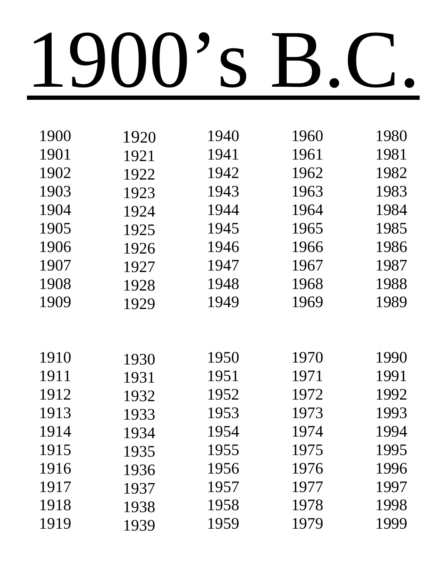| 1900 | 1920 | 1940 | 1960 | 1980 |
|------|------|------|------|------|
| 1901 | 1921 | 1941 | 1961 | 1981 |
| 1902 | 1922 | 1942 | 1962 | 1982 |
| 1903 | 1923 | 1943 | 1963 | 1983 |
| 1904 | 1924 | 1944 | 1964 | 1984 |
| 1905 | 1925 | 1945 | 1965 | 1985 |
| 1906 | 1926 | 1946 | 1966 | 1986 |
| 1907 | 1927 | 1947 | 1967 | 1987 |
| 1908 | 1928 | 1948 | 1968 | 1988 |
| 1909 | 1929 | 1949 | 1969 | 1989 |
|      |      |      |      |      |
|      |      |      |      |      |
| 1910 | 1930 | 1950 | 1970 | 1990 |
| 1911 | 1931 | 1951 | 1971 | 1991 |
| 1912 | 1932 | 1952 | 1972 | 1992 |
| 1913 | 1933 | 1953 | 1973 | 1993 |
| 1914 | 1934 | 1954 | 1974 | 1994 |
| 1915 | 1935 | 1955 | 1975 | 1995 |
| 1916 | 1936 | 1956 | 1976 | 1996 |
| 1917 | 1937 | 1957 | 1977 | 1997 |
| 1918 | 1938 | 1958 | 1978 | 1998 |
| 1919 | 1939 | 1959 | 1979 | 1999 |
|      |      |      |      |      |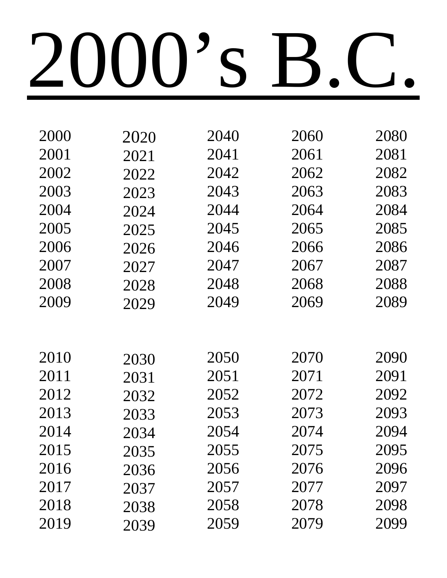| 2000 | 2020 | 2040 | 2060 | 2080 |
|------|------|------|------|------|
| 2001 | 2021 | 2041 | 2061 | 2081 |
| 2002 | 2022 | 2042 | 2062 | 2082 |
| 2003 | 2023 | 2043 | 2063 | 2083 |
| 2004 | 2024 | 2044 | 2064 | 2084 |
| 2005 | 2025 | 2045 | 2065 | 2085 |
| 2006 | 2026 | 2046 | 2066 | 2086 |
| 2007 | 2027 | 2047 | 2067 | 2087 |
| 2008 | 2028 | 2048 | 2068 | 2088 |
| 2009 | 2029 | 2049 | 2069 | 2089 |
|      |      |      |      |      |
|      |      |      |      |      |
| 2010 | 2030 | 2050 | 2070 | 2090 |
| 2011 | 2031 | 2051 | 2071 | 2091 |
| 2012 | 2032 | 2052 | 2072 | 2092 |
| 2013 | 2033 | 2053 | 2073 | 2093 |
| 2014 | 2034 | 2054 | 2074 | 2094 |
| 2015 | 2035 | 2055 | 2075 | 2095 |
| 2016 | 2036 | 2056 | 2076 | 2096 |
| 2017 | 2037 | 2057 | 2077 | 2097 |
| 2018 | 2038 | 2058 | 2078 | 2098 |
| 2019 | 2039 | 2059 | 2079 | 2099 |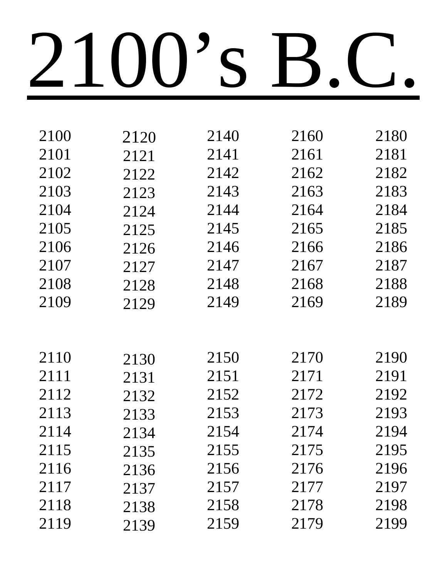| 2100<br>2140<br>2160<br>2120<br>2101<br>2141<br>2161<br>2121<br>2102<br>2142<br>2162<br>2122<br>2103<br>2143<br>2163<br>2123<br>2104<br>2144<br>2164<br>2124<br>2105<br>2145<br>2165<br>2125<br>2106<br>2146<br>2166<br>2126<br>2107<br>2147<br>2167<br>2127<br>2108<br>2148<br>2168<br>2128<br>2109<br>2149<br>2169<br>2129<br>2110<br>2150<br>2170<br>2130<br>2111<br>2171<br>2151<br>2131<br>2112<br>2152<br>2172<br>2132<br>2113<br>2153<br>2173<br>2133<br>2114<br>2154<br>2174<br>2134<br>2115<br>2155<br>2175<br>2135<br>2116<br>2176<br>2156<br>2136<br>2177<br>2117<br>2157<br>2137<br>2118<br>2158<br>2178<br>2138 |      |      |      |      |      |
|------------------------------------------------------------------------------------------------------------------------------------------------------------------------------------------------------------------------------------------------------------------------------------------------------------------------------------------------------------------------------------------------------------------------------------------------------------------------------------------------------------------------------------------------------------------------------------------------------------------------------|------|------|------|------|------|
|                                                                                                                                                                                                                                                                                                                                                                                                                                                                                                                                                                                                                              | 2180 |      |      |      |      |
|                                                                                                                                                                                                                                                                                                                                                                                                                                                                                                                                                                                                                              | 2181 |      |      |      |      |
|                                                                                                                                                                                                                                                                                                                                                                                                                                                                                                                                                                                                                              | 2182 |      |      |      |      |
|                                                                                                                                                                                                                                                                                                                                                                                                                                                                                                                                                                                                                              | 2183 |      |      |      |      |
|                                                                                                                                                                                                                                                                                                                                                                                                                                                                                                                                                                                                                              | 2184 |      |      |      |      |
|                                                                                                                                                                                                                                                                                                                                                                                                                                                                                                                                                                                                                              | 2185 |      |      |      |      |
|                                                                                                                                                                                                                                                                                                                                                                                                                                                                                                                                                                                                                              | 2186 |      |      |      |      |
|                                                                                                                                                                                                                                                                                                                                                                                                                                                                                                                                                                                                                              | 2187 |      |      |      |      |
|                                                                                                                                                                                                                                                                                                                                                                                                                                                                                                                                                                                                                              | 2188 |      |      |      |      |
|                                                                                                                                                                                                                                                                                                                                                                                                                                                                                                                                                                                                                              | 2189 |      |      |      |      |
|                                                                                                                                                                                                                                                                                                                                                                                                                                                                                                                                                                                                                              |      |      |      |      |      |
|                                                                                                                                                                                                                                                                                                                                                                                                                                                                                                                                                                                                                              |      |      |      |      |      |
|                                                                                                                                                                                                                                                                                                                                                                                                                                                                                                                                                                                                                              | 2190 |      |      |      |      |
|                                                                                                                                                                                                                                                                                                                                                                                                                                                                                                                                                                                                                              | 2191 |      |      |      |      |
|                                                                                                                                                                                                                                                                                                                                                                                                                                                                                                                                                                                                                              | 2192 |      |      |      |      |
|                                                                                                                                                                                                                                                                                                                                                                                                                                                                                                                                                                                                                              | 2193 |      |      |      |      |
|                                                                                                                                                                                                                                                                                                                                                                                                                                                                                                                                                                                                                              | 2194 |      |      |      |      |
|                                                                                                                                                                                                                                                                                                                                                                                                                                                                                                                                                                                                                              | 2195 |      |      |      |      |
|                                                                                                                                                                                                                                                                                                                                                                                                                                                                                                                                                                                                                              | 2196 |      |      |      |      |
|                                                                                                                                                                                                                                                                                                                                                                                                                                                                                                                                                                                                                              | 2197 |      |      |      |      |
|                                                                                                                                                                                                                                                                                                                                                                                                                                                                                                                                                                                                                              | 2198 |      |      |      |      |
|                                                                                                                                                                                                                                                                                                                                                                                                                                                                                                                                                                                                                              | 2199 | 2179 | 2159 | 2139 | 2119 |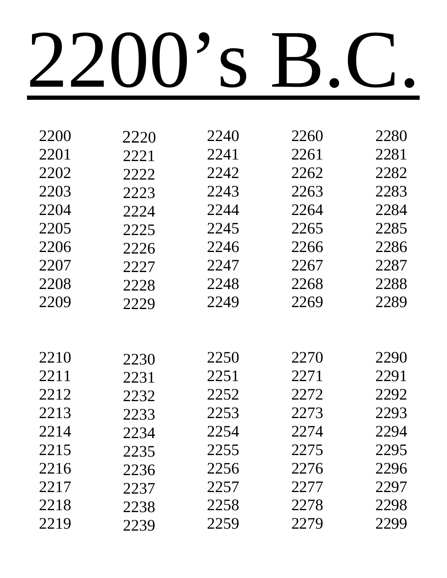| 2200 | 2220 | 2240 | 2260 | 2280 |
|------|------|------|------|------|
| 2201 | 2221 | 2241 | 2261 | 2281 |
| 2202 | 2222 | 2242 | 2262 | 2282 |
| 2203 | 2223 | 2243 | 2263 | 2283 |
| 2204 | 2224 | 2244 | 2264 | 2284 |
| 2205 | 2225 | 2245 | 2265 | 2285 |
| 2206 | 2226 | 2246 | 2266 | 2286 |
| 2207 | 2227 | 2247 | 2267 | 2287 |
| 2208 | 2228 | 2248 | 2268 | 2288 |
| 2209 | 2229 | 2249 | 2269 | 2289 |
|      |      |      |      |      |
|      |      |      |      |      |
| 2210 | 2230 | 2250 | 2270 | 2290 |
| 2211 | 2231 | 2251 | 2271 | 2291 |
| 2212 | 2232 | 2252 | 2272 | 2292 |
| 2213 | 2233 | 2253 | 2273 | 2293 |
| 2214 | 2234 | 2254 | 2274 | 2294 |
| 2215 | 2235 | 2255 | 2275 | 2295 |
| 2216 | 2236 | 2256 | 2276 | 2296 |
| 2217 | 2237 | 2257 | 2277 | 2297 |
| 2218 | 2238 | 2258 | 2278 | 2298 |
| 2219 | 2239 | 2259 | 2279 | 2299 |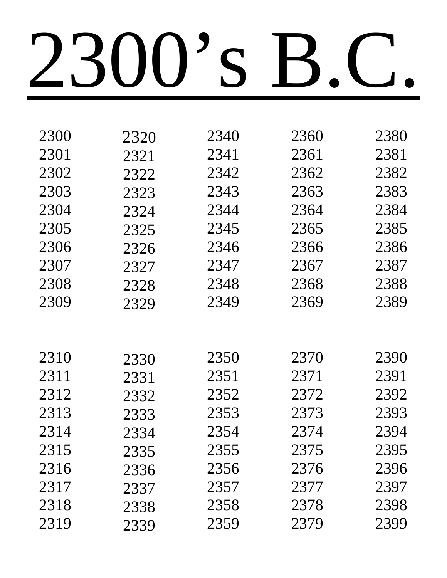| 2300 | 2320 | 2340 | 2360 | 2380 |
|------|------|------|------|------|
| 2301 | 2321 | 2341 | 2361 | 2381 |
| 2302 | 2322 | 2342 | 2362 | 2382 |
| 2303 | 2323 | 2343 | 2363 | 2383 |
| 2304 | 2324 | 2344 | 2364 | 2384 |
| 2305 | 2325 | 2345 | 2365 | 2385 |
| 2306 | 2326 | 2346 | 2366 | 2386 |
| 2307 | 2327 | 2347 | 2367 | 2387 |
| 2308 | 2328 | 2348 | 2368 | 2388 |
| 2309 | 2329 | 2349 | 2369 | 2389 |
|      |      |      |      |      |
|      |      |      |      |      |
| 2310 | 2330 | 2350 | 2370 | 2390 |
| 2311 | 2331 | 2351 | 2371 | 2391 |
| 2312 | 2332 | 2352 | 2372 | 2392 |
| 2313 | 2333 | 2353 | 2373 | 2393 |
| 2314 | 2334 | 2354 | 2374 | 2394 |
| 2315 | 2335 | 2355 | 2375 | 2395 |
| 2316 | 2336 | 2356 | 2376 | 2396 |
| 2317 | 2337 | 2357 | 2377 | 2397 |
| 2318 | 2338 | 2358 | 2378 | 2398 |
| 2319 | 2339 | 2359 | 2379 | 2399 |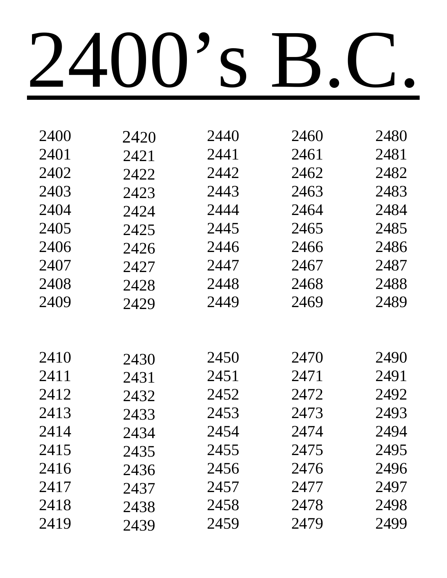| 2400 | 2420 | 2440 | 2460 | 2480 |
|------|------|------|------|------|
| 2401 | 2421 | 2441 | 2461 | 2481 |
| 2402 | 2422 | 2442 | 2462 | 2482 |
| 2403 | 2423 | 2443 | 2463 | 2483 |
| 2404 | 2424 | 2444 | 2464 | 2484 |
| 2405 | 2425 | 2445 | 2465 | 2485 |
| 2406 | 2426 | 2446 | 2466 | 2486 |
| 2407 | 2427 | 2447 | 2467 | 2487 |
| 2408 | 2428 | 2448 | 2468 | 2488 |
| 2409 | 2429 | 2449 | 2469 | 2489 |
|      |      |      |      |      |
|      |      |      |      |      |
| 2410 | 2430 | 2450 | 2470 | 2490 |
| 2411 | 2431 | 2451 | 2471 | 2491 |
| 2412 | 2432 | 2452 | 2472 | 2492 |
| 2413 | 2433 | 2453 | 2473 | 2493 |
| 2414 | 2434 | 2454 | 2474 | 2494 |
| 2415 | 2435 | 2455 | 2475 | 2495 |
| 2416 | 2436 | 2456 | 2476 | 2496 |
| 2417 | 2437 | 2457 | 2477 | 2497 |
| 2418 | 2438 | 2458 | 2478 | 2498 |
| 2419 | 2439 | 2459 | 2479 | 2499 |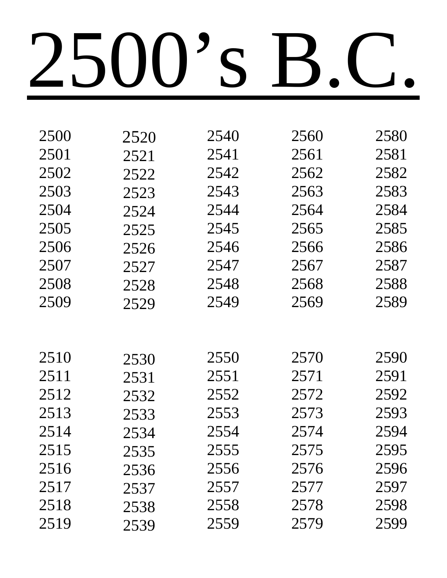| 2500 | 2520 | 2540 | 2560 | 2580 |
|------|------|------|------|------|
| 2501 | 2521 | 2541 | 2561 | 2581 |
| 2502 | 2522 | 2542 | 2562 | 2582 |
| 2503 | 2523 | 2543 | 2563 | 2583 |
| 2504 | 2524 | 2544 | 2564 | 2584 |
| 2505 | 2525 | 2545 | 2565 | 2585 |
| 2506 | 2526 | 2546 | 2566 | 2586 |
| 2507 | 2527 | 2547 | 2567 | 2587 |
| 2508 | 2528 | 2548 | 2568 | 2588 |
| 2509 | 2529 | 2549 | 2569 | 2589 |
|      |      |      |      |      |
|      |      |      |      |      |
| 2510 | 2530 | 2550 | 2570 | 2590 |
| 2511 | 2531 | 2551 | 2571 | 2591 |
| 2512 | 2532 | 2552 | 2572 | 2592 |
| 2513 | 2533 | 2553 | 2573 | 2593 |
| 2514 | 2534 | 2554 | 2574 | 2594 |
| 2515 | 2535 | 2555 | 2575 | 2595 |
| 2516 | 2536 | 2556 | 2576 | 2596 |
| 2517 | 2537 | 2557 | 2577 | 2597 |
| 2518 | 2538 | 2558 | 2578 | 2598 |
| 2519 | 2539 | 2559 | 2579 | 2599 |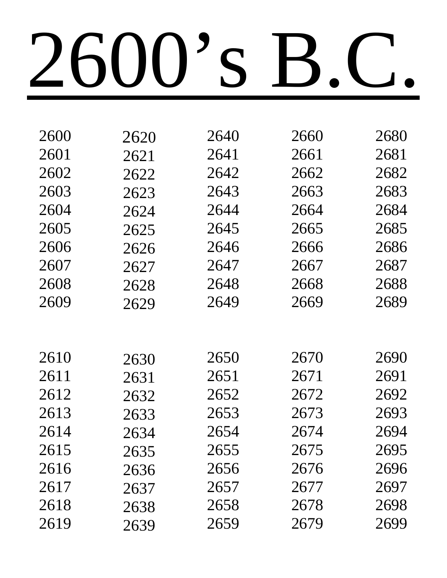| 2600 | 2620 | 2640 | 2660 | 2680 |
|------|------|------|------|------|
| 2601 | 2621 | 2641 | 2661 | 2681 |
| 2602 | 2622 | 2642 | 2662 | 2682 |
| 2603 | 2623 | 2643 | 2663 | 2683 |
| 2604 | 2624 | 2644 | 2664 | 2684 |
| 2605 | 2625 | 2645 | 2665 | 2685 |
| 2606 | 2626 | 2646 | 2666 | 2686 |
| 2607 | 2627 | 2647 | 2667 | 2687 |
| 2608 | 2628 | 2648 | 2668 | 2688 |
| 2609 | 2629 | 2649 | 2669 | 2689 |
|      |      |      |      |      |
|      |      |      |      |      |
| 2610 | 2630 | 2650 | 2670 | 2690 |
| 2611 | 2631 | 2651 | 2671 | 2691 |
| 2612 | 2632 | 2652 | 2672 | 2692 |
| 2613 | 2633 | 2653 | 2673 | 2693 |
| 2614 | 2634 | 2654 | 2674 | 2694 |
| 2615 | 2635 | 2655 | 2675 | 2695 |
| 2616 | 2636 | 2656 | 2676 | 2696 |
| 2617 | 2637 | 2657 | 2677 | 2697 |
| 2618 | 2638 | 2658 | 2678 | 2698 |
| 2619 | 2639 | 2659 | 2679 | 2699 |
|      |      |      |      |      |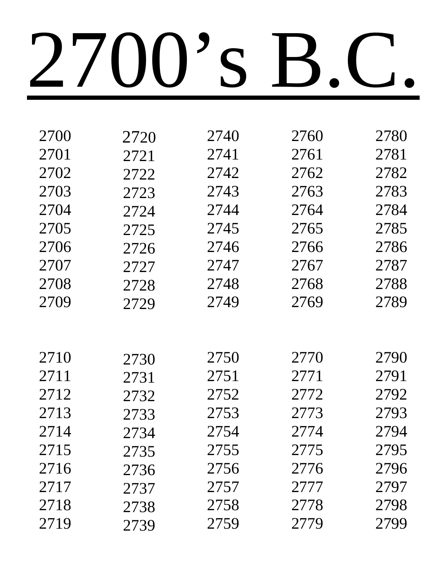| 2720 | 2740 | 2760 | 2780 |
|------|------|------|------|
| 2721 | 2741 | 2761 | 2781 |
| 2722 | 2742 | 2762 | 2782 |
| 2723 | 2743 | 2763 | 2783 |
| 2724 | 2744 | 2764 | 2784 |
| 2725 | 2745 | 2765 | 2785 |
| 2726 | 2746 | 2766 | 2786 |
| 2727 | 2747 | 2767 | 2787 |
| 2728 | 2748 | 2768 | 2788 |
| 2729 | 2749 | 2769 | 2789 |
|      |      |      |      |
|      |      |      |      |
| 2730 | 2750 | 2770 | 2790 |
| 2731 | 2751 | 2771 | 2791 |
| 2732 | 2752 | 2772 | 2792 |
| 2733 | 2753 | 2773 | 2793 |
| 2734 | 2754 | 2774 | 2794 |
| 2735 | 2755 | 2775 | 2795 |
| 2736 | 2756 | 2776 | 2796 |
| 2737 | 2757 | 2777 | 2797 |
| 2738 | 2758 | 2778 | 2798 |
| 2739 | 2759 | 2779 | 2799 |
|      |      |      |      |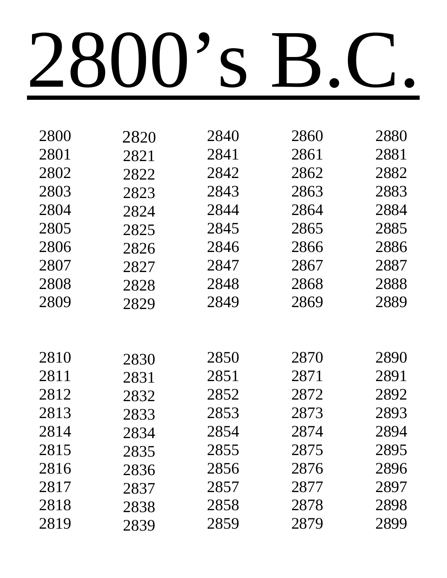| 2800 | 2820 | 2840 | 2860 | 2880 |
|------|------|------|------|------|
| 2801 | 2821 | 2841 | 2861 | 2881 |
| 2802 | 2822 | 2842 | 2862 | 2882 |
| 2803 | 2823 | 2843 | 2863 | 2883 |
| 2804 | 2824 | 2844 | 2864 | 2884 |
| 2805 | 2825 | 2845 | 2865 | 2885 |
| 2806 | 2826 | 2846 | 2866 | 2886 |
| 2807 | 2827 | 2847 | 2867 | 2887 |
| 2808 | 2828 | 2848 | 2868 | 2888 |
| 2809 | 2829 | 2849 | 2869 | 2889 |
|      |      |      |      |      |
|      |      |      |      |      |
| 2810 | 2830 | 2850 | 2870 | 2890 |
| 2811 | 2831 | 2851 | 2871 | 2891 |
| 2812 | 2832 | 2852 | 2872 | 2892 |
| 2813 | 2833 | 2853 | 2873 | 2893 |
| 2814 | 2834 | 2854 | 2874 | 2894 |
| 2815 | 2835 | 2855 | 2875 | 2895 |
| 2816 | 2836 | 2856 | 2876 | 2896 |
| 2817 | 2837 | 2857 | 2877 | 2897 |
| 2818 | 2838 | 2858 | 2878 | 2898 |
| 2819 | 2839 | 2859 | 2879 | 2899 |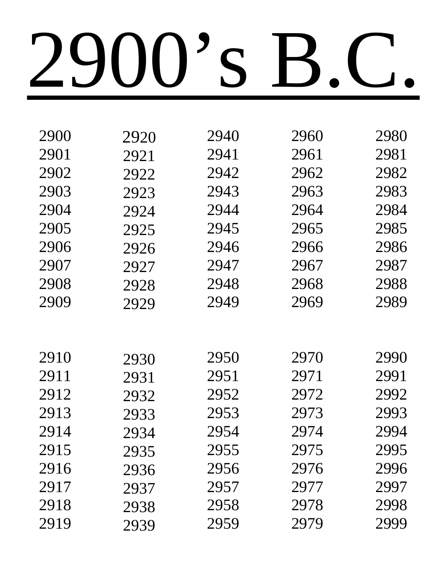| 2900 | 2920 | 2940 | 2960 | 2980 |
|------|------|------|------|------|
| 2901 | 2921 | 2941 | 2961 | 2981 |
| 2902 | 2922 | 2942 | 2962 | 2982 |
| 2903 | 2923 | 2943 | 2963 | 2983 |
| 2904 | 2924 | 2944 | 2964 | 2984 |
| 2905 | 2925 | 2945 | 2965 | 2985 |
| 2906 | 2926 | 2946 | 2966 | 2986 |
| 2907 | 2927 | 2947 | 2967 | 2987 |
| 2908 | 2928 | 2948 | 2968 | 2988 |
| 2909 | 2929 | 2949 | 2969 | 2989 |
|      |      |      |      |      |
|      |      |      |      |      |
| 2910 | 2930 | 2950 | 2970 | 2990 |
| 2911 | 2931 | 2951 | 2971 | 2991 |
| 2912 | 2932 | 2952 | 2972 | 2992 |
| 2913 | 2933 | 2953 | 2973 | 2993 |
| 2914 | 2934 | 2954 | 2974 | 2994 |
| 2915 | 2935 | 2955 | 2975 | 2995 |
| 2916 | 2936 | 2956 | 2976 | 2996 |
| 2917 | 2937 | 2957 | 2977 | 2997 |
| 2918 | 2938 | 2958 | 2978 | 2998 |
| 2919 | 2939 | 2959 | 2979 | 2999 |
|      |      |      |      |      |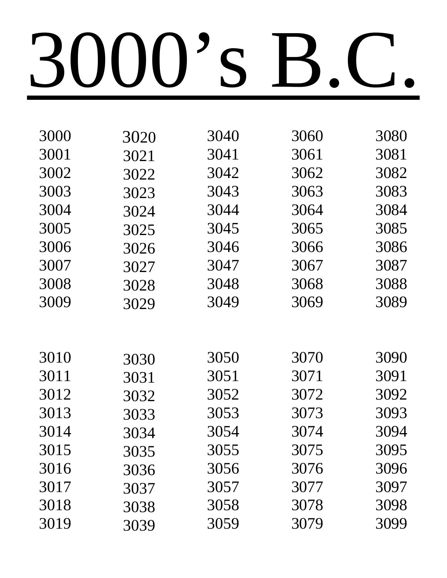| 3000 | 3020 | 3040 | 3060 | 3080 |
|------|------|------|------|------|
| 3001 | 3021 | 3041 | 3061 | 3081 |
| 3002 | 3022 | 3042 | 3062 | 3082 |
| 3003 | 3023 | 3043 | 3063 | 3083 |
| 3004 | 3024 | 3044 | 3064 | 3084 |
| 3005 | 3025 | 3045 | 3065 | 3085 |
| 3006 | 3026 | 3046 | 3066 | 3086 |
| 3007 | 3027 | 3047 | 3067 | 3087 |
| 3008 | 3028 | 3048 | 3068 | 3088 |
| 3009 | 3029 | 3049 | 3069 | 3089 |
|      |      |      |      |      |
|      |      |      |      |      |
| 3010 | 3030 | 3050 | 3070 | 3090 |
| 3011 | 3031 | 3051 | 3071 | 3091 |
| 3012 | 3032 | 3052 | 3072 | 3092 |
| 3013 | 3033 | 3053 | 3073 | 3093 |
| 3014 | 3034 | 3054 | 3074 | 3094 |
| 3015 | 3035 | 3055 | 3075 | 3095 |
| 3016 | 3036 | 3056 | 3076 | 3096 |
| 3017 | 3037 | 3057 | 3077 | 3097 |
| 3018 | 3038 | 3058 | 3078 | 3098 |
| 3019 | 3039 | 3059 | 3079 | 3099 |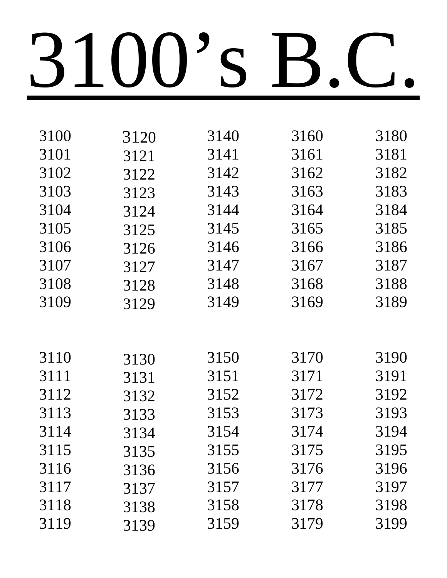| 3100 | 3120 | 3140 | 3160 | 3180 |
|------|------|------|------|------|
| 3101 | 3121 | 3141 | 3161 | 3181 |
| 3102 | 3122 | 3142 | 3162 | 3182 |
| 3103 | 3123 | 3143 | 3163 | 3183 |
| 3104 | 3124 | 3144 | 3164 | 3184 |
| 3105 | 3125 | 3145 | 3165 | 3185 |
| 3106 | 3126 | 3146 | 3166 | 3186 |
| 3107 | 3127 | 3147 | 3167 | 3187 |
| 3108 | 3128 | 3148 | 3168 | 3188 |
| 3109 | 3129 | 3149 | 3169 | 3189 |
|      |      |      |      |      |
|      |      |      |      |      |
| 3110 | 3130 | 3150 | 3170 | 3190 |
| 3111 | 3131 | 3151 | 3171 | 3191 |
| 3112 | 3132 | 3152 | 3172 | 3192 |
| 3113 | 3133 | 3153 | 3173 | 3193 |
| 3114 | 3134 | 3154 | 3174 | 3194 |
| 3115 | 3135 | 3155 | 3175 | 3195 |
| 3116 | 3136 | 3156 | 3176 | 3196 |
| 3117 | 3137 | 3157 | 3177 | 3197 |
| 3118 | 3138 | 3158 | 3178 | 3198 |
| 3119 | 3139 | 3159 | 3179 | 3199 |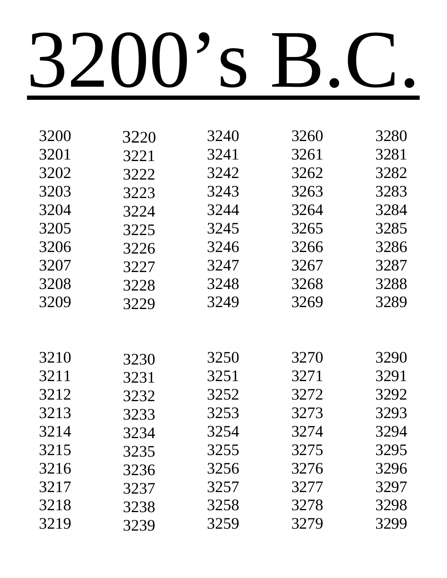| 3200<br>3240<br>3260<br>3220<br>3201<br>3241<br>3261<br>3221<br>3202<br>3242<br>3262<br>3222<br>3203<br>3243<br>3263<br>3223<br>3204<br>3244<br>3264<br>3224<br>3205<br>3245<br>3265<br>3225<br>3206<br>3246<br>3266<br>3226<br>3207<br>3247<br>3267<br>3227<br>3208<br>3248<br>3268<br>3228<br>3209<br>3249<br>3269<br>3229<br>3210<br>3250<br>3270<br>3230<br>3211<br>3251<br>3271<br>3231<br>3212<br>3252<br>3272<br>3232<br>3213<br>3273<br>3253<br>3233<br>3214<br>3274<br>3254<br>3234<br>3215<br>3255<br>3275<br>3235<br>3216<br>3256<br>3276<br>3236<br>3217<br>3277<br>3257<br>3237<br>3218<br>3258<br>3278<br>3238 |      |      |      |      |      |
|------------------------------------------------------------------------------------------------------------------------------------------------------------------------------------------------------------------------------------------------------------------------------------------------------------------------------------------------------------------------------------------------------------------------------------------------------------------------------------------------------------------------------------------------------------------------------------------------------------------------------|------|------|------|------|------|
|                                                                                                                                                                                                                                                                                                                                                                                                                                                                                                                                                                                                                              |      |      |      |      | 3280 |
|                                                                                                                                                                                                                                                                                                                                                                                                                                                                                                                                                                                                                              |      |      |      |      | 3281 |
|                                                                                                                                                                                                                                                                                                                                                                                                                                                                                                                                                                                                                              |      |      |      |      | 3282 |
|                                                                                                                                                                                                                                                                                                                                                                                                                                                                                                                                                                                                                              |      |      |      |      | 3283 |
|                                                                                                                                                                                                                                                                                                                                                                                                                                                                                                                                                                                                                              |      |      |      |      | 3284 |
|                                                                                                                                                                                                                                                                                                                                                                                                                                                                                                                                                                                                                              |      |      |      |      | 3285 |
|                                                                                                                                                                                                                                                                                                                                                                                                                                                                                                                                                                                                                              |      |      |      |      | 3286 |
|                                                                                                                                                                                                                                                                                                                                                                                                                                                                                                                                                                                                                              |      |      |      |      | 3287 |
|                                                                                                                                                                                                                                                                                                                                                                                                                                                                                                                                                                                                                              |      |      |      |      | 3288 |
|                                                                                                                                                                                                                                                                                                                                                                                                                                                                                                                                                                                                                              |      |      |      |      | 3289 |
|                                                                                                                                                                                                                                                                                                                                                                                                                                                                                                                                                                                                                              |      |      |      |      |      |
|                                                                                                                                                                                                                                                                                                                                                                                                                                                                                                                                                                                                                              |      |      |      |      |      |
|                                                                                                                                                                                                                                                                                                                                                                                                                                                                                                                                                                                                                              |      |      |      |      | 3290 |
|                                                                                                                                                                                                                                                                                                                                                                                                                                                                                                                                                                                                                              |      |      |      |      | 3291 |
|                                                                                                                                                                                                                                                                                                                                                                                                                                                                                                                                                                                                                              |      |      |      |      | 3292 |
|                                                                                                                                                                                                                                                                                                                                                                                                                                                                                                                                                                                                                              |      |      |      |      | 3293 |
|                                                                                                                                                                                                                                                                                                                                                                                                                                                                                                                                                                                                                              |      |      |      |      | 3294 |
|                                                                                                                                                                                                                                                                                                                                                                                                                                                                                                                                                                                                                              |      |      |      |      | 3295 |
|                                                                                                                                                                                                                                                                                                                                                                                                                                                                                                                                                                                                                              |      |      |      |      | 3296 |
|                                                                                                                                                                                                                                                                                                                                                                                                                                                                                                                                                                                                                              |      |      |      |      | 3297 |
|                                                                                                                                                                                                                                                                                                                                                                                                                                                                                                                                                                                                                              |      |      |      |      | 3298 |
|                                                                                                                                                                                                                                                                                                                                                                                                                                                                                                                                                                                                                              | 3219 | 3239 | 3259 | 3279 | 3299 |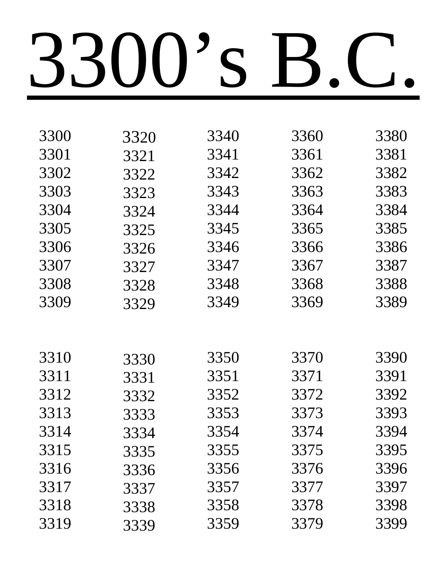| 3300 | 3320 | 3340 | 3360 | 3380 |
|------|------|------|------|------|
| 3301 | 3321 | 3341 | 3361 | 3381 |
| 3302 | 3322 | 3342 | 3362 | 3382 |
| 3303 | 3323 | 3343 | 3363 | 3383 |
| 3304 | 3324 | 3344 | 3364 | 3384 |
| 3305 | 3325 | 3345 | 3365 | 3385 |
| 3306 | 3326 | 3346 | 3366 | 3386 |
| 3307 | 3327 | 3347 | 3367 | 3387 |
| 3308 | 3328 | 3348 | 3368 | 3388 |
| 3309 | 3329 | 3349 | 3369 | 3389 |
|      |      |      |      |      |
|      |      |      |      |      |
| 3310 | 3330 | 3350 | 3370 | 3390 |
| 3311 | 3331 | 3351 | 3371 | 3391 |
| 3312 | 3332 | 3352 | 3372 | 3392 |
| 3313 | 3333 | 3353 | 3373 | 3393 |
| 3314 | 3334 | 3354 | 3374 | 3394 |
| 3315 | 3335 | 3355 | 3375 | 3395 |
| 3316 | 3336 | 3356 | 3376 | 3396 |
| 3317 | 3337 | 3357 | 3377 | 3397 |
| 3318 | 3338 | 3358 | 3378 | 3398 |
| 3319 | 3339 | 3359 | 3379 | 3399 |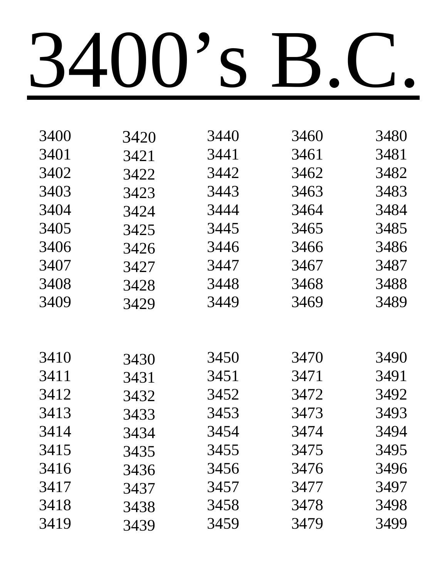| 3400 | 3420 | 3440 | 3460 | 3480 |
|------|------|------|------|------|
| 3401 | 3421 | 3441 | 3461 | 3481 |
| 3402 | 3422 | 3442 | 3462 | 3482 |
| 3403 | 3423 | 3443 | 3463 | 3483 |
| 3404 | 3424 | 3444 | 3464 | 3484 |
| 3405 | 3425 | 3445 | 3465 | 3485 |
| 3406 | 3426 | 3446 | 3466 | 3486 |
| 3407 | 3427 | 3447 | 3467 | 3487 |
| 3408 | 3428 | 3448 | 3468 | 3488 |
| 3409 | 3429 | 3449 | 3469 | 3489 |
|      |      |      |      |      |
|      |      |      |      |      |
| 3410 | 3430 | 3450 | 3470 | 3490 |
| 3411 | 3431 | 3451 | 3471 | 3491 |
| 3412 | 3432 | 3452 | 3472 | 3492 |
| 3413 | 3433 | 3453 | 3473 | 3493 |
| 3414 | 3434 | 3454 | 3474 | 3494 |
| 3415 | 3435 | 3455 | 3475 | 3495 |
| 3416 | 3436 | 3456 | 3476 | 3496 |
| 3417 | 3437 | 3457 | 3477 | 3497 |
| 3418 | 3438 | 3458 | 3478 | 3498 |
| 3419 | 3439 | 3459 | 3479 | 3499 |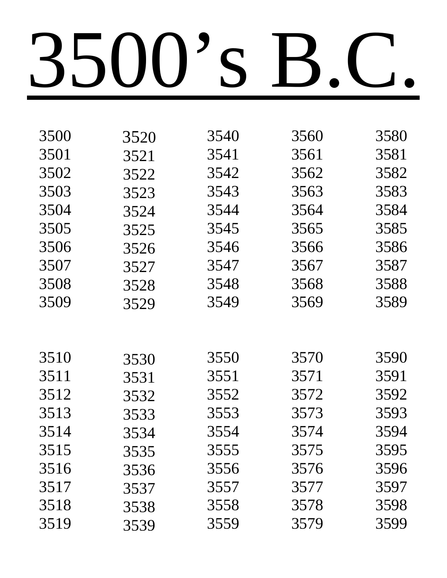| 3520 | 3540 | 3560 | 3580 |
|------|------|------|------|
| 3521 | 3541 | 3561 | 3581 |
| 3522 | 3542 | 3562 | 3582 |
| 3523 | 3543 | 3563 | 3583 |
| 3524 | 3544 | 3564 | 3584 |
| 3525 | 3545 | 3565 | 3585 |
| 3526 | 3546 | 3566 | 3586 |
| 3527 | 3547 | 3567 | 3587 |
| 3528 | 3548 | 3568 | 3588 |
| 3529 | 3549 | 3569 | 3589 |
|      |      |      |      |
|      |      |      |      |
| 3530 | 3550 | 3570 | 3590 |
| 3531 | 3551 | 3571 | 3591 |
| 3532 | 3552 | 3572 | 3592 |
| 3533 | 3553 | 3573 | 3593 |
| 3534 | 3554 | 3574 | 3594 |
| 3535 | 3555 | 3575 | 3595 |
| 3536 | 3556 | 3576 | 3596 |
| 3537 | 3557 | 3577 | 3597 |
| 3538 | 3558 | 3578 | 3598 |
|      |      |      |      |
|      |      |      | 3559 |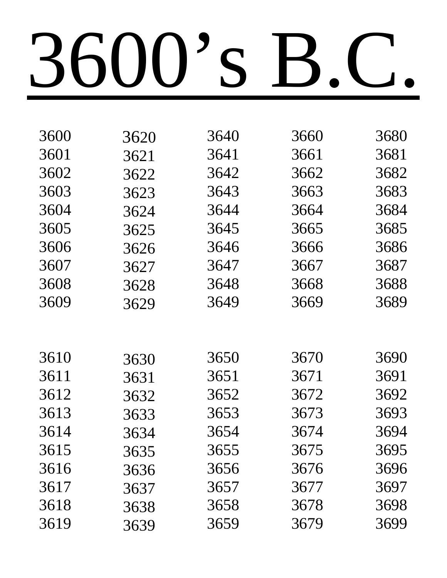| 3600 | 3620 | 3640 | 3660 | 3680 |
|------|------|------|------|------|
| 3601 | 3621 | 3641 | 3661 | 3681 |
| 3602 | 3622 | 3642 | 3662 | 3682 |
| 3603 | 3623 | 3643 | 3663 | 3683 |
| 3604 | 3624 | 3644 | 3664 | 3684 |
| 3605 | 3625 | 3645 | 3665 | 3685 |
| 3606 | 3626 | 3646 | 3666 | 3686 |
| 3607 | 3627 | 3647 | 3667 | 3687 |
| 3608 | 3628 | 3648 | 3668 | 3688 |
| 3609 | 3629 | 3649 | 3669 | 3689 |
|      |      |      |      |      |
|      |      |      |      |      |
| 3610 | 3630 | 3650 | 3670 | 3690 |
| 3611 | 3631 | 3651 | 3671 | 3691 |
| 3612 | 3632 | 3652 | 3672 | 3692 |
| 3613 | 3633 | 3653 | 3673 | 3693 |
| 3614 | 3634 | 3654 | 3674 | 3694 |
| 3615 | 3635 | 3655 | 3675 | 3695 |
| 3616 | 3636 | 3656 | 3676 | 3696 |
| 3617 | 3637 | 3657 | 3677 | 3697 |
| 3618 | 3638 | 3658 | 3678 | 3698 |
| 3619 | 3639 | 3659 | 3679 | 3699 |
|      |      |      |      |      |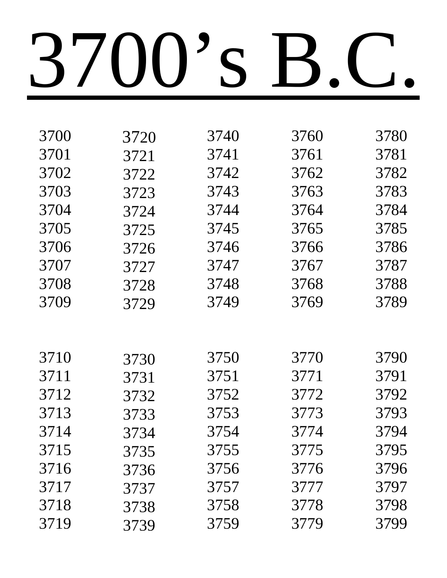| 3700 | 3720 | 3740 | 3760 | 3780 |
|------|------|------|------|------|
|      |      |      |      |      |
| 3701 | 3721 | 3741 | 3761 | 3781 |
| 3702 | 3722 | 3742 | 3762 | 3782 |
| 3703 | 3723 | 3743 | 3763 | 3783 |
| 3704 | 3724 | 3744 | 3764 | 3784 |
| 3705 | 3725 | 3745 | 3765 | 3785 |
| 3706 | 3726 | 3746 | 3766 | 3786 |
| 3707 | 3727 | 3747 | 3767 | 3787 |
| 3708 | 3728 | 3748 | 3768 | 3788 |
| 3709 | 3729 | 3749 | 3769 | 3789 |
|      |      |      |      |      |
|      |      |      |      |      |
| 3710 | 3730 | 3750 | 3770 | 3790 |
| 3711 | 3731 | 3751 | 3771 | 3791 |
| 3712 | 3732 | 3752 | 3772 | 3792 |
| 3713 | 3733 | 3753 | 3773 | 3793 |
| 3714 | 3734 | 3754 | 3774 | 3794 |
| 3715 | 3735 | 3755 | 3775 | 3795 |
| 3716 | 3736 | 3756 | 3776 | 3796 |
| 3717 | 3737 | 3757 | 3777 | 3797 |
| 3718 | 3738 | 3758 | 3778 | 3798 |
| 3719 | 3739 | 3759 | 3779 | 3799 |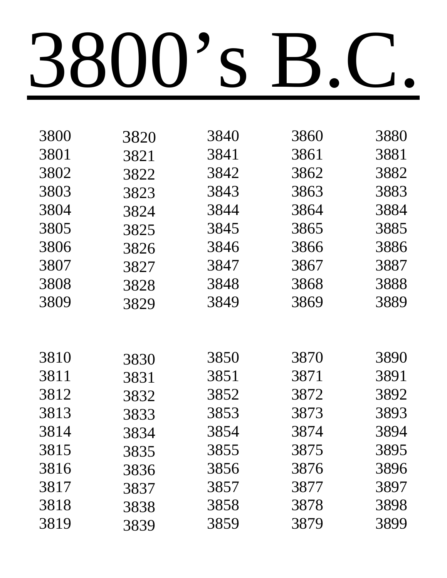| 3800 | 3820 | 3840 | 3860 | 3880 |
|------|------|------|------|------|
| 3801 | 3821 | 3841 | 3861 | 3881 |
| 3802 | 3822 | 3842 | 3862 | 3882 |
| 3803 | 3823 | 3843 | 3863 | 3883 |
| 3804 | 3824 | 3844 | 3864 | 3884 |
| 3805 | 3825 | 3845 | 3865 | 3885 |
| 3806 | 3826 | 3846 | 3866 | 3886 |
| 3807 | 3827 | 3847 | 3867 | 3887 |
| 3808 | 3828 | 3848 | 3868 | 3888 |
| 3809 | 3829 | 3849 | 3869 | 3889 |
|      |      |      |      |      |
|      |      |      |      |      |
| 3810 | 3830 | 3850 | 3870 | 3890 |
| 3811 | 3831 | 3851 | 3871 | 3891 |
| 3812 | 3832 | 3852 | 3872 | 3892 |
| 3813 | 3833 | 3853 | 3873 | 3893 |
| 3814 | 3834 | 3854 | 3874 | 3894 |
| 3815 | 3835 | 3855 | 3875 | 3895 |
| 3816 | 3836 | 3856 | 3876 | 3896 |
| 3817 | 3837 | 3857 | 3877 | 3897 |
| 3818 | 3838 | 3858 | 3878 | 3898 |
| 3819 | 3839 | 3859 | 3879 | 3899 |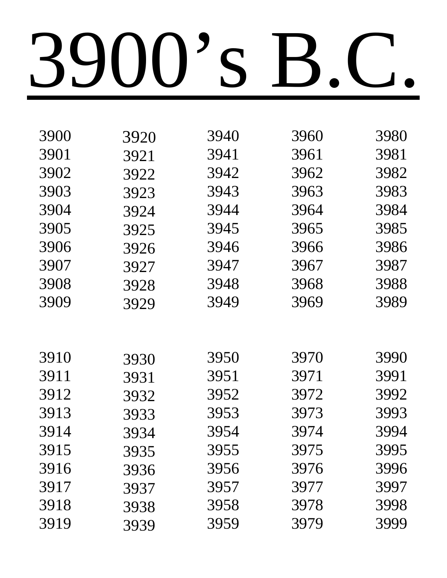| 3900 | 3920 | 3940 | 3960 | 3980 |
|------|------|------|------|------|
| 3901 | 3921 | 3941 | 3961 | 3981 |
| 3902 | 3922 | 3942 | 3962 | 3982 |
| 3903 | 3923 | 3943 | 3963 | 3983 |
| 3904 | 3924 | 3944 | 3964 | 3984 |
| 3905 | 3925 | 3945 | 3965 | 3985 |
| 3906 | 3926 | 3946 | 3966 | 3986 |
| 3907 | 3927 | 3947 | 3967 | 3987 |
| 3908 | 3928 | 3948 | 3968 | 3988 |
| 3909 | 3929 | 3949 | 3969 | 3989 |
|      |      |      |      |      |
|      |      |      |      |      |
| 3910 | 3930 | 3950 | 3970 | 3990 |
| 3911 | 3931 | 3951 | 3971 | 3991 |
| 3912 | 3932 | 3952 | 3972 | 3992 |
| 3913 | 3933 | 3953 | 3973 | 3993 |
| 3914 | 3934 | 3954 | 3974 | 3994 |
| 3915 | 3935 | 3955 | 3975 | 3995 |
| 3916 | 3936 | 3956 | 3976 | 3996 |
| 3917 | 3937 | 3957 | 3977 | 3997 |
| 3918 | 3938 | 3958 | 3978 | 3998 |
| 3919 | 3939 | 3959 | 3979 | 3999 |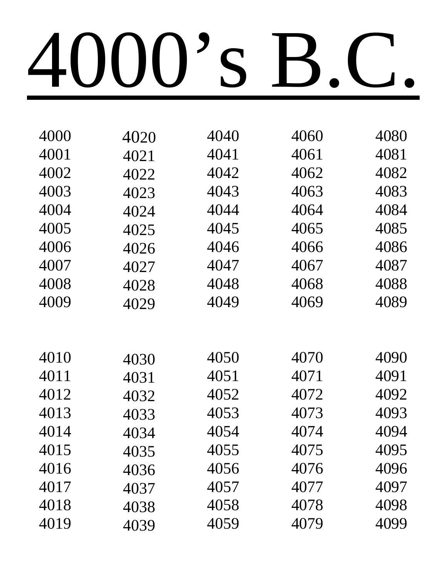| 4020 | 4040 | 4060 | 4080 |
|------|------|------|------|
| 4021 | 4041 | 4061 | 4081 |
| 4022 | 4042 | 4062 | 4082 |
| 4023 | 4043 | 4063 | 4083 |
| 4024 | 4044 | 4064 | 4084 |
| 4025 | 4045 | 4065 | 4085 |
| 4026 | 4046 | 4066 | 4086 |
| 4027 | 4047 | 4067 | 4087 |
| 4028 | 4048 | 4068 | 4088 |
| 4029 | 4049 | 4069 | 4089 |
|      |      |      |      |
|      |      |      |      |
| 4030 | 4050 | 4070 | 4090 |
| 4031 | 4051 | 4071 | 4091 |
| 4032 | 4052 | 4072 | 4092 |
| 4033 | 4053 | 4073 | 4093 |
| 4034 | 4054 | 4074 | 4094 |
| 4035 | 4055 | 4075 | 4095 |
| 4036 | 4056 | 4076 | 4096 |
| 4037 | 4057 | 4077 | 4097 |
|      |      |      |      |
| 4038 | 4058 | 4078 | 4098 |
|      |      |      |      |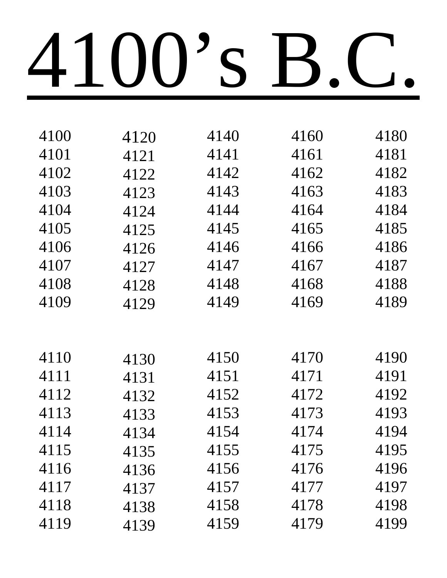| 4100 | 4120 | 4140 | 4160 | 4180 |
|------|------|------|------|------|
| 4101 | 4121 | 4141 | 4161 | 4181 |
| 4102 | 4122 | 4142 | 4162 | 4182 |
| 4103 | 4123 | 4143 | 4163 | 4183 |
| 4104 | 4124 | 4144 | 4164 | 4184 |
| 4105 | 4125 | 4145 | 4165 | 4185 |
| 4106 | 4126 | 4146 | 4166 | 4186 |
| 4107 | 4127 | 4147 | 4167 | 4187 |
| 4108 | 4128 | 4148 | 4168 | 4188 |
| 4109 | 4129 | 4149 | 4169 | 4189 |
|      |      |      |      |      |
|      |      |      |      |      |
| 4110 | 4130 | 4150 | 4170 | 4190 |
| 4111 | 4131 | 4151 | 4171 | 4191 |
| 4112 | 4132 | 4152 | 4172 | 4192 |
| 4113 | 4133 | 4153 | 4173 | 4193 |
| 4114 | 4134 | 4154 | 4174 | 4194 |
| 4115 | 4135 | 4155 | 4175 | 4195 |
| 4116 | 4136 | 4156 | 4176 | 4196 |
| 4117 | 4137 | 4157 | 4177 | 4197 |
| 4118 | 4138 | 4158 | 4178 | 4198 |
| 4119 | 4139 | 4159 | 4179 | 4199 |
|      |      |      |      |      |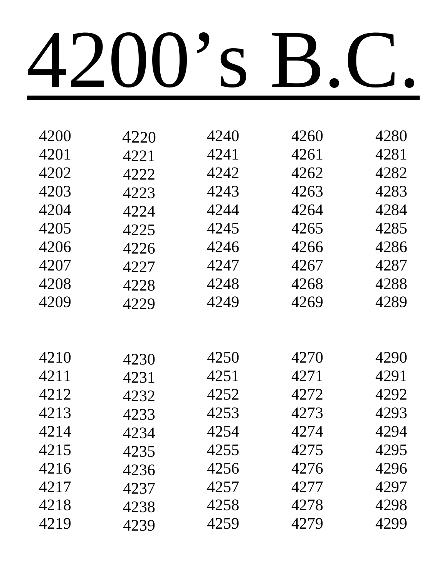| 4200 | 4220 | 4240 | 4260 | 4280 |
|------|------|------|------|------|
| 4201 | 4221 | 4241 | 4261 | 4281 |
| 4202 | 4222 | 4242 | 4262 | 4282 |
| 4203 | 4223 | 4243 | 4263 | 4283 |
| 4204 | 4224 | 4244 | 4264 | 4284 |
| 4205 | 4225 | 4245 | 4265 | 4285 |
| 4206 | 4226 | 4246 | 4266 | 4286 |
| 4207 | 4227 | 4247 | 4267 | 4287 |
| 4208 | 4228 | 4248 | 4268 | 4288 |
| 4209 | 4229 | 4249 | 4269 | 4289 |
|      |      |      |      |      |
|      |      |      |      |      |
| 4210 | 4230 | 4250 | 4270 | 4290 |
| 4211 | 4231 | 4251 | 4271 | 4291 |
| 4212 | 4232 | 4252 | 4272 | 4292 |
| 4213 | 4233 | 4253 | 4273 | 4293 |
| 4214 | 4234 | 4254 | 4274 | 4294 |
| 4215 | 4235 | 4255 | 4275 | 4295 |
| 4216 | 4236 | 4256 | 4276 | 4296 |
| 4217 | 4237 | 4257 | 4277 | 4297 |
| 4218 | 4238 | 4258 | 4278 | 4298 |
| 4219 | 4239 | 4259 | 4279 | 4299 |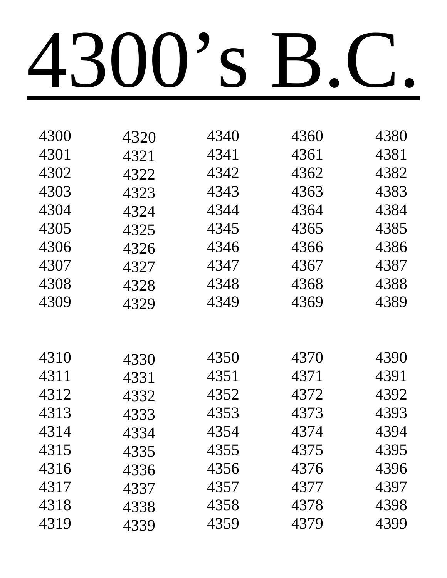| 4320 | 4340 | 4360 | 4380 |
|------|------|------|------|
| 4321 | 4341 | 4361 | 4381 |
| 4322 | 4342 | 4362 | 4382 |
| 4323 | 4343 | 4363 | 4383 |
| 4324 | 4344 | 4364 | 4384 |
| 4325 | 4345 | 4365 | 4385 |
| 4326 | 4346 | 4366 | 4386 |
| 4327 | 4347 | 4367 | 4387 |
| 4328 | 4348 | 4368 | 4388 |
| 4329 | 4349 | 4369 | 4389 |
|      |      |      |      |
|      |      |      |      |
| 4330 | 4350 | 4370 | 4390 |
| 4331 | 4351 | 4371 | 4391 |
| 4332 | 4352 | 4372 | 4392 |
| 4333 | 4353 | 4373 | 4393 |
| 4334 | 4354 | 4374 | 4394 |
| 4335 | 4355 | 4375 | 4395 |
| 4336 | 4356 | 4376 | 4396 |
| 4337 | 4357 | 4377 | 4397 |
| 4338 | 4358 | 4378 | 4398 |
| 4339 | 4359 | 4379 | 4399 |
|      |      |      |      |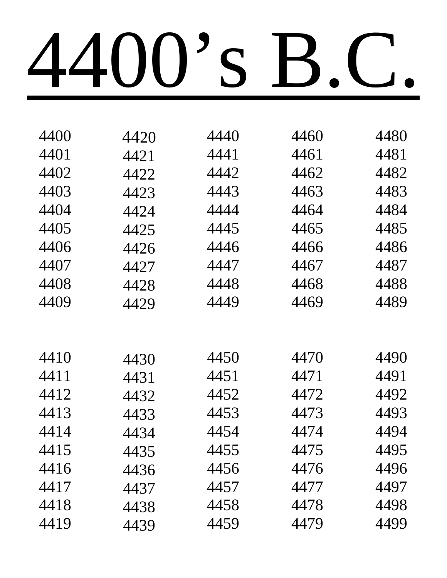| 4400 | 4420 | 4440 | 4460 | 4480 |
|------|------|------|------|------|
| 4401 | 4421 | 4441 | 4461 | 4481 |
| 4402 | 4422 | 4442 | 4462 | 4482 |
| 4403 | 4423 | 4443 | 4463 | 4483 |
| 4404 | 4424 | 4444 | 4464 | 4484 |
| 4405 | 4425 | 4445 | 4465 | 4485 |
| 4406 | 4426 | 4446 | 4466 | 4486 |
| 4407 | 4427 | 4447 | 4467 | 4487 |
| 4408 | 4428 | 4448 | 4468 | 4488 |
| 4409 | 4429 | 4449 | 4469 | 4489 |
|      |      |      |      |      |
|      |      |      |      |      |
| 4410 | 4430 | 4450 | 4470 | 4490 |
| 4411 | 4431 | 4451 | 4471 | 4491 |
| 4412 | 4432 | 4452 | 4472 | 4492 |
| 4413 | 4433 | 4453 | 4473 | 4493 |
| 4414 | 4434 | 4454 | 4474 | 4494 |
| 4415 | 4435 | 4455 | 4475 | 4495 |
| 4416 | 4436 | 4456 | 4476 | 4496 |
| 4417 | 4437 | 4457 | 4477 | 4497 |
| 4418 | 4438 | 4458 | 4478 | 4498 |
| 4419 | 4439 | 4459 | 4479 | 4499 |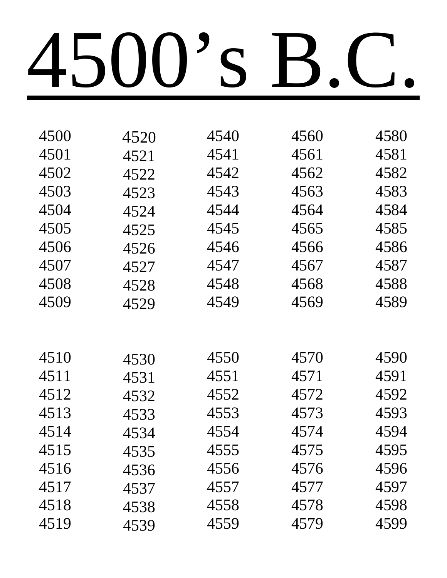| 4500 | 4520 | 4540 | 4560 | 4580 |
|------|------|------|------|------|
| 4501 | 4521 | 4541 | 4561 | 4581 |
| 4502 | 4522 | 4542 | 4562 | 4582 |
| 4503 | 4523 | 4543 | 4563 | 4583 |
| 4504 | 4524 | 4544 | 4564 | 4584 |
| 4505 | 4525 | 4545 | 4565 | 4585 |
| 4506 | 4526 | 4546 | 4566 | 4586 |
| 4507 | 4527 | 4547 | 4567 | 4587 |
| 4508 | 4528 | 4548 | 4568 | 4588 |
| 4509 | 4529 | 4549 | 4569 | 4589 |
|      |      |      |      |      |
|      |      |      |      |      |
| 4510 | 4530 | 4550 | 4570 | 4590 |
| 4511 | 4531 | 4551 | 4571 | 4591 |
| 4512 | 4532 | 4552 | 4572 | 4592 |
| 4513 | 4533 | 4553 | 4573 | 4593 |
| 4514 | 4534 | 4554 | 4574 | 4594 |
| 4515 | 4535 | 4555 | 4575 | 4595 |
| 4516 | 4536 | 4556 | 4576 | 4596 |
| 4517 | 4537 | 4557 | 4577 | 4597 |
| 4518 | 4538 | 4558 | 4578 | 4598 |
| 4519 | 4539 | 4559 | 4579 | 4599 |
|      |      |      |      |      |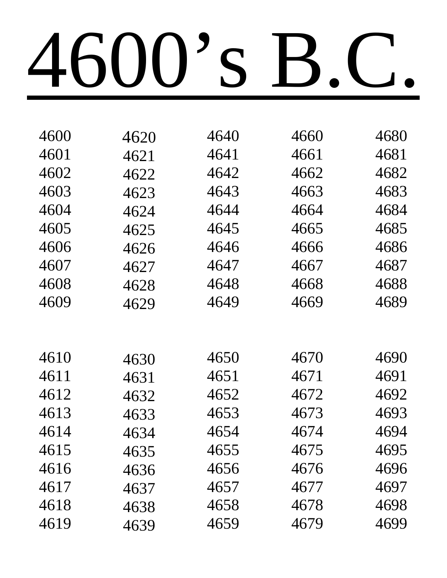| 4600 | 4620 | 4640 | 4660 | 4680 |
|------|------|------|------|------|
| 4601 | 4621 | 4641 | 4661 | 4681 |
| 4602 | 4622 | 4642 | 4662 | 4682 |
| 4603 | 4623 | 4643 | 4663 | 4683 |
| 4604 | 4624 | 4644 | 4664 | 4684 |
| 4605 | 4625 | 4645 | 4665 | 4685 |
| 4606 | 4626 | 4646 | 4666 | 4686 |
| 4607 | 4627 | 4647 | 4667 | 4687 |
| 4608 | 4628 | 4648 | 4668 | 4688 |
| 4609 | 4629 | 4649 | 4669 | 4689 |
|      |      |      |      |      |
|      |      |      |      |      |
| 4610 | 4630 | 4650 | 4670 | 4690 |
| 4611 | 4631 | 4651 | 4671 | 4691 |
| 4612 | 4632 | 4652 | 4672 | 4692 |
| 4613 | 4633 | 4653 | 4673 | 4693 |
| 4614 | 4634 | 4654 | 4674 | 4694 |
| 4615 | 4635 | 4655 | 4675 | 4695 |
| 4616 | 4636 | 4656 | 4676 | 4696 |
| 4617 | 4637 | 4657 | 4677 | 4697 |
| 4618 | 4638 | 4658 | 4678 | 4698 |
| 4619 | 4639 | 4659 | 4679 | 4699 |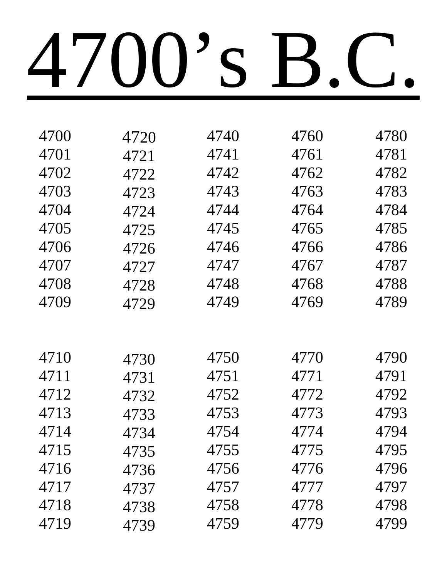| 4720 | 4740 | 4760 | 4780 |
|------|------|------|------|
| 4721 | 4741 | 4761 | 4781 |
| 4722 | 4742 | 4762 | 4782 |
| 4723 | 4743 | 4763 | 4783 |
| 4724 | 4744 | 4764 | 4784 |
| 4725 | 4745 | 4765 | 4785 |
| 4726 | 4746 | 4766 | 4786 |
| 4727 | 4747 | 4767 | 4787 |
| 4728 | 4748 | 4768 | 4788 |
| 4729 | 4749 | 4769 | 4789 |
|      |      |      |      |
|      |      |      |      |
| 4730 | 4750 | 4770 | 4790 |
| 4731 | 4751 | 4771 | 4791 |
| 4732 | 4752 | 4772 | 4792 |
| 4733 | 4753 | 4773 | 4793 |
| 4734 | 4754 | 4774 | 4794 |
| 4735 | 4755 | 4775 | 4795 |
| 4736 | 4756 | 4776 | 4796 |
| 4737 | 4757 | 4777 | 4797 |
|      |      |      |      |
| 4738 | 4758 | 4778 | 4798 |
|      |      |      |      |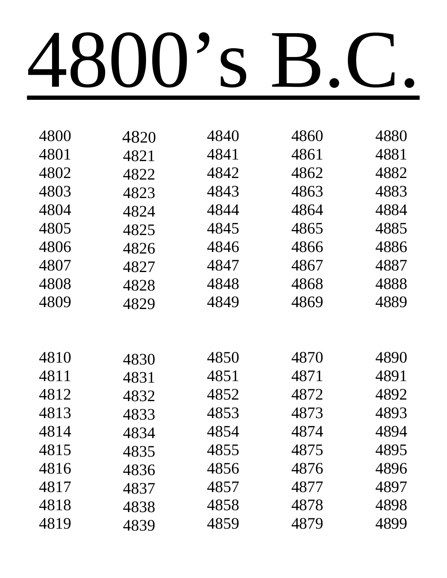| 4800 | 4820 | 4840 | 4860 | 4880 |
|------|------|------|------|------|
| 4801 | 4821 | 4841 | 4861 | 4881 |
| 4802 | 4822 | 4842 | 4862 | 4882 |
| 4803 | 4823 | 4843 | 4863 | 4883 |
| 4804 | 4824 | 4844 | 4864 | 4884 |
| 4805 | 4825 | 4845 | 4865 | 4885 |
| 4806 | 4826 | 4846 | 4866 | 4886 |
| 4807 | 4827 | 4847 | 4867 | 4887 |
| 4808 | 4828 | 4848 | 4868 | 4888 |
| 4809 | 4829 | 4849 | 4869 | 4889 |
|      |      |      |      |      |
|      |      |      |      |      |
| 4810 | 4830 | 4850 | 4870 | 4890 |
| 4811 | 4831 | 4851 | 4871 | 4891 |
| 4812 | 4832 | 4852 | 4872 | 4892 |
| 4813 | 4833 | 4853 | 4873 | 4893 |
| 4814 | 4834 | 4854 | 4874 | 4894 |
| 4815 | 4835 | 4855 | 4875 | 4895 |
| 4816 | 4836 | 4856 | 4876 | 4896 |
| 4817 | 4837 | 4857 | 4877 | 4897 |
| 4818 | 4838 | 4858 | 4878 | 4898 |
| 4819 | 4839 | 4859 | 4879 | 4899 |
|      |      |      |      |      |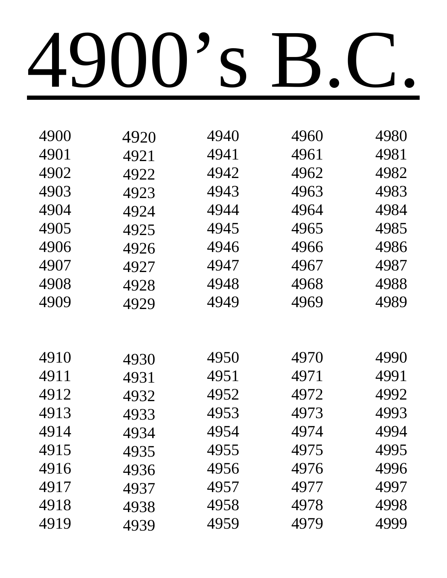| 4900 | 4920 | 4940 | 4960 | 4980 |
|------|------|------|------|------|
| 4901 | 4921 | 4941 | 4961 | 4981 |
| 4902 | 4922 | 4942 | 4962 | 4982 |
| 4903 | 4923 | 4943 | 4963 | 4983 |
| 4904 | 4924 | 4944 | 4964 | 4984 |
| 4905 | 4925 | 4945 | 4965 | 4985 |
| 4906 | 4926 | 4946 | 4966 | 4986 |
| 4907 | 4927 | 4947 | 4967 | 4987 |
| 4908 | 4928 | 4948 | 4968 | 4988 |
| 4909 | 4929 | 4949 | 4969 | 4989 |
|      |      |      |      |      |
|      |      |      |      |      |
| 4910 | 4930 | 4950 | 4970 | 4990 |
| 4911 | 4931 | 4951 | 4971 | 4991 |
| 4912 | 4932 | 4952 | 4972 | 4992 |
| 4913 | 4933 | 4953 | 4973 | 4993 |
| 4914 | 4934 | 4954 | 4974 | 4994 |
| 4915 | 4935 | 4955 | 4975 | 4995 |
| 4916 | 4936 | 4956 | 4976 | 4996 |
| 4917 | 4937 | 4957 | 4977 | 4997 |
| 4918 | 4938 | 4958 | 4978 | 4998 |
| 4919 | 4939 | 4959 | 4979 | 4999 |